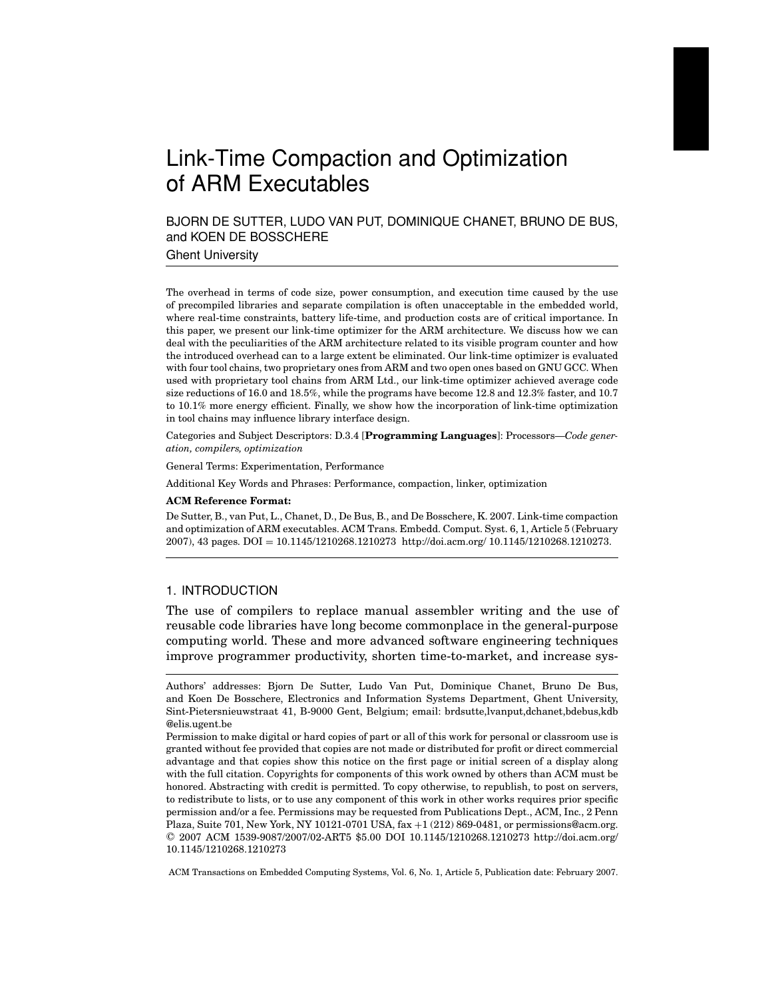BJORN DE SUTTER, LUDO VAN PUT, DOMINIQUE CHANET, BRUNO DE BUS, and KOEN DE BOSSCHERE

Ghent University

The overhead in terms of code size, power consumption, and execution time caused by the use of precompiled libraries and separate compilation is often unacceptable in the embedded world, where real-time constraints, battery life-time, and production costs are of critical importance. In this paper, we present our link-time optimizer for the ARM architecture. We discuss how we can deal with the peculiarities of the ARM architecture related to its visible program counter and how the introduced overhead can to a large extent be eliminated. Our link-time optimizer is evaluated with four tool chains, two proprietary ones from ARM and two open ones based on GNU GCC. When used with proprietary tool chains from ARM Ltd., our link-time optimizer achieved average code size reductions of 16.0 and 18.5%, while the programs have become 12.8 and 12.3% faster, and 10.7 to 10.1% more energy efficient. Finally, we show how the incorporation of link-time optimization in tool chains may influence library interface design.

Categories and Subject Descriptors: D.3.4 [**Programming Languages**]: Processors—*Code generation, compilers, optimization*

General Terms: Experimentation, Performance

Additional Key Words and Phrases: Performance, compaction, linker, optimization

#### **ACM Reference Format:**

De Sutter, B., van Put, L., Chanet, D., De Bus, B., and De Bosschere, K. 2007. Link-time compaction and optimization of ARM executables. ACM Trans. Embedd. Comput. Syst. 6, 1, Article 5 (February 2007), 43 pages. DOI = 10.1145/1210268.1210273 http://doi.acm.org/ 10.1145/1210268.1210273.

## 1. INTRODUCTION

The use of compilers to replace manual assembler writing and the use of reusable code libraries have long become commonplace in the general-purpose computing world. These and more advanced software engineering techniques improve programmer productivity, shorten time-to-market, and increase sys-

Permission to make digital or hard copies of part or all of this work for personal or classroom use is granted without fee provided that copies are not made or distributed for profit or direct commercial advantage and that copies show this notice on the first page or initial screen of a display along with the full citation. Copyrights for components of this work owned by others than ACM must be honored. Abstracting with credit is permitted. To copy otherwise, to republish, to post on servers, to redistribute to lists, or to use any component of this work in other works requires prior specific permission and/or a fee. Permissions may be requested from Publications Dept., ACM, Inc., 2 Penn Plaza, Suite 701, New York, NY 10121-0701 USA, fax +1 (212) 869-0481, or permissions@acm.org. © 2007 ACM 1539-9087/2007/02-ART5 \$5.00 DOI 10.1145/1210268.1210273 http://doi.acm.org/ 10.1145/1210268.1210273

Authors' addresses: Bjorn De Sutter, Ludo Van Put, Dominique Chanet, Bruno De Bus, and Koen De Bosschere, Electronics and Information Systems Department, Ghent University, Sint-Pietersnieuwstraat 41, B-9000 Gent, Belgium; email: brdsutte,lvanput,dchanet,bdebus,kdb @elis.ugent.be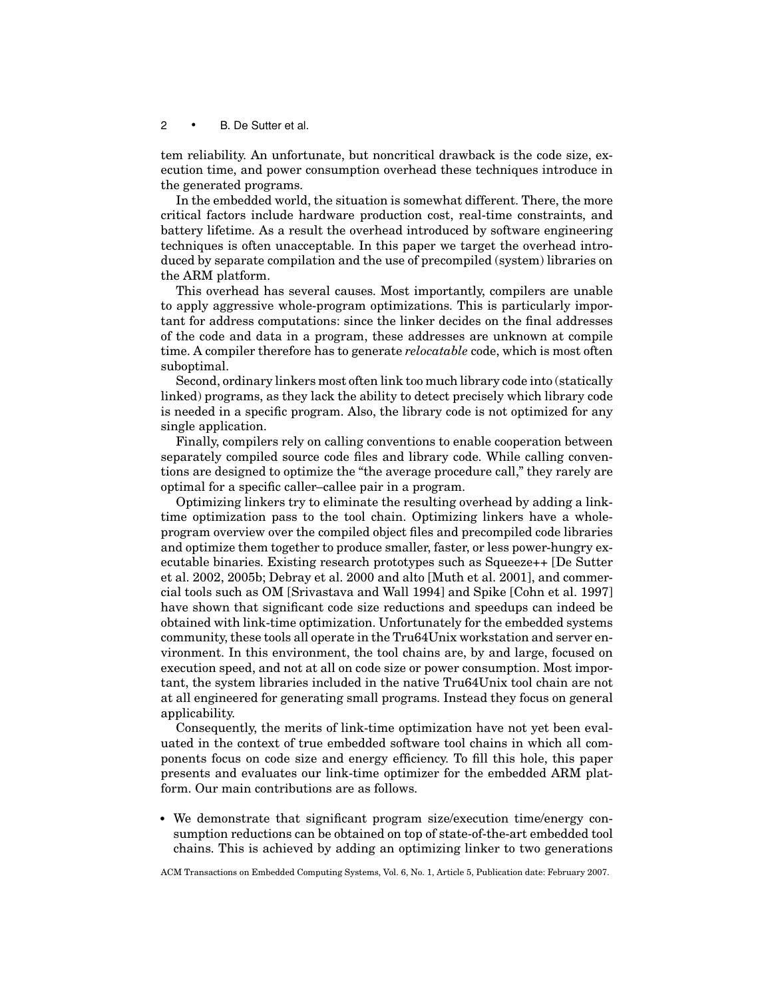tem reliability. An unfortunate, but noncritical drawback is the code size, execution time, and power consumption overhead these techniques introduce in the generated programs.

In the embedded world, the situation is somewhat different. There, the more critical factors include hardware production cost, real-time constraints, and battery lifetime. As a result the overhead introduced by software engineering techniques is often unacceptable. In this paper we target the overhead introduced by separate compilation and the use of precompiled (system) libraries on the ARM platform.

This overhead has several causes. Most importantly, compilers are unable to apply aggressive whole-program optimizations. This is particularly important for address computations: since the linker decides on the final addresses of the code and data in a program, these addresses are unknown at compile time. A compiler therefore has to generate *relocatable* code, which is most often suboptimal.

Second, ordinary linkers most often link too much library code into (statically linked) programs, as they lack the ability to detect precisely which library code is needed in a specific program. Also, the library code is not optimized for any single application.

Finally, compilers rely on calling conventions to enable cooperation between separately compiled source code files and library code. While calling conventions are designed to optimize the "the average procedure call," they rarely are optimal for a specific caller–callee pair in a program.

Optimizing linkers try to eliminate the resulting overhead by adding a linktime optimization pass to the tool chain. Optimizing linkers have a wholeprogram overview over the compiled object files and precompiled code libraries and optimize them together to produce smaller, faster, or less power-hungry executable binaries. Existing research prototypes such as Squeeze++ [De Sutter et al. 2002, 2005b; Debray et al. 2000 and alto [Muth et al. 2001], and commercial tools such as OM [Srivastava and Wall 1994] and Spike [Cohn et al. 1997] have shown that significant code size reductions and speedups can indeed be obtained with link-time optimization. Unfortunately for the embedded systems community, these tools all operate in the Tru64Unix workstation and server environment. In this environment, the tool chains are, by and large, focused on execution speed, and not at all on code size or power consumption. Most important, the system libraries included in the native Tru64Unix tool chain are not at all engineered for generating small programs. Instead they focus on general applicability.

Consequently, the merits of link-time optimization have not yet been evaluated in the context of true embedded software tool chains in which all components focus on code size and energy efficiency. To fill this hole, this paper presents and evaluates our link-time optimizer for the embedded ARM platform. Our main contributions are as follows.

- We demonstrate that significant program size/execution time/energy consumption reductions can be obtained on top of state-of-the-art embedded tool chains. This is achieved by adding an optimizing linker to two generations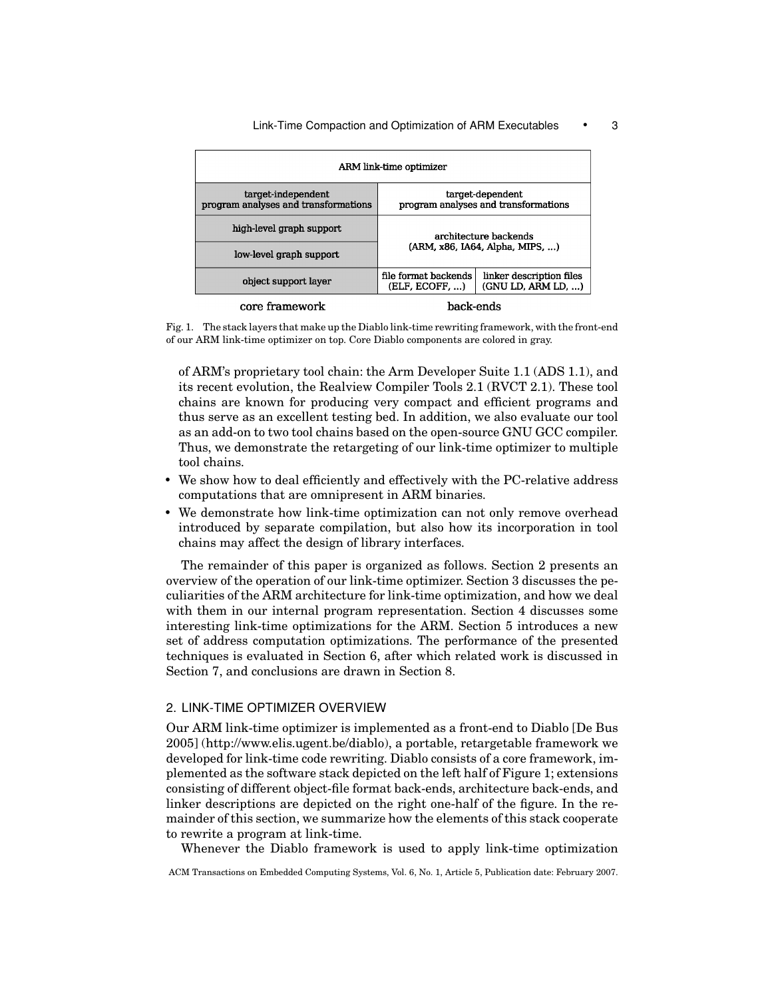#### Link-Time Compaction and Optimization of ARM Executables • 3

| ARM link-time optimizer                                    |                                        |                                                          |  |  |  |  |
|------------------------------------------------------------|----------------------------------------|----------------------------------------------------------|--|--|--|--|
| target-independent<br>program analyses and transformations |                                        | target-dependent<br>program analyses and transformations |  |  |  |  |
| high-level graph support                                   | architecture backends                  |                                                          |  |  |  |  |
| low-level graph support                                    |                                        | (ARM, x86, IA64, Alpha, MIPS, )                          |  |  |  |  |
| object support layer                                       | file format backends<br>(ELF, ECOFF, ) | linker description files<br>(GNU LD, ARM LD, )           |  |  |  |  |
| core framework                                             | back-ends                              |                                                          |  |  |  |  |

Fig. 1. The stack layers that make up the Diablo link-time rewriting framework, with the front-end of our ARM link-time optimizer on top. Core Diablo components are colored in gray.

of ARM's proprietary tool chain: the Arm Developer Suite 1.1 (ADS 1.1), and its recent evolution, the Realview Compiler Tools 2.1 (RVCT 2.1). These tool chains are known for producing very compact and efficient programs and thus serve as an excellent testing bed. In addition, we also evaluate our tool as an add-on to two tool chains based on the open-source GNU GCC compiler. Thus, we demonstrate the retargeting of our link-time optimizer to multiple tool chains.

- We show how to deal efficiently and effectively with the PC-relative address computations that are omnipresent in ARM binaries.
- We demonstrate how link-time optimization can not only remove overhead introduced by separate compilation, but also how its incorporation in tool chains may affect the design of library interfaces.

The remainder of this paper is organized as follows. Section 2 presents an overview of the operation of our link-time optimizer. Section 3 discusses the peculiarities of the ARM architecture for link-time optimization, and how we deal with them in our internal program representation. Section 4 discusses some interesting link-time optimizations for the ARM. Section 5 introduces a new set of address computation optimizations. The performance of the presented techniques is evaluated in Section 6, after which related work is discussed in Section 7, and conclusions are drawn in Section 8.

# 2. LINK-TIME OPTIMIZER OVERVIEW

Our ARM link-time optimizer is implemented as a front-end to Diablo [De Bus 2005] (http://www.elis.ugent.be/diablo), a portable, retargetable framework we developed for link-time code rewriting. Diablo consists of a core framework, implemented as the software stack depicted on the left half of Figure 1; extensions consisting of different object-file format back-ends, architecture back-ends, and linker descriptions are depicted on the right one-half of the figure. In the remainder of this section, we summarize how the elements of this stack cooperate to rewrite a program at link-time.

Whenever the Diablo framework is used to apply link-time optimization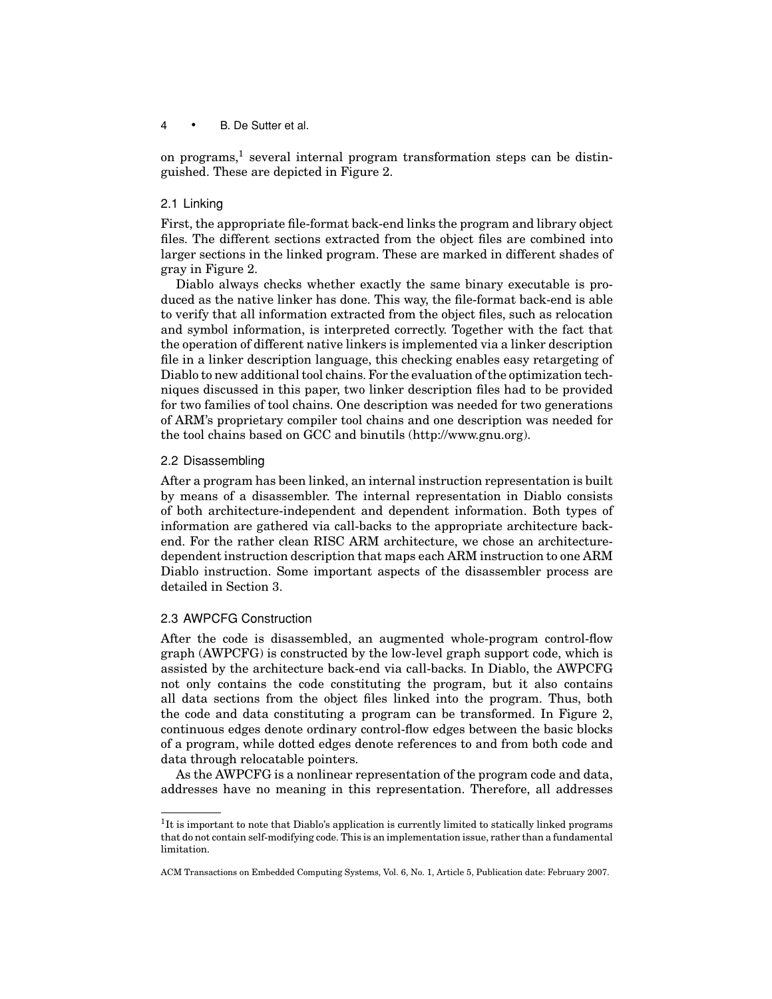on programs, $<sup>1</sup>$  several internal program transformation steps can be distin-</sup> guished. These are depicted in Figure 2.

### 2.1 Linking

First, the appropriate file-format back-end links the program and library object files. The different sections extracted from the object files are combined into larger sections in the linked program. These are marked in different shades of gray in Figure 2.

Diablo always checks whether exactly the same binary executable is produced as the native linker has done. This way, the file-format back-end is able to verify that all information extracted from the object files, such as relocation and symbol information, is interpreted correctly. Together with the fact that the operation of different native linkers is implemented via a linker description file in a linker description language, this checking enables easy retargeting of Diablo to new additional tool chains. For the evaluation of the optimization techniques discussed in this paper, two linker description files had to be provided for two families of tool chains. One description was needed for two generations of ARM's proprietary compiler tool chains and one description was needed for the tool chains based on GCC and binutils (http://www.gnu.org).

### 2.2 Disassembling

After a program has been linked, an internal instruction representation is built by means of a disassembler. The internal representation in Diablo consists of both architecture-independent and dependent information. Both types of information are gathered via call-backs to the appropriate architecture backend. For the rather clean RISC ARM architecture, we chose an architecturedependent instruction description that maps each ARM instruction to one ARM Diablo instruction. Some important aspects of the disassembler process are detailed in Section 3.

## 2.3 AWPCFG Construction

After the code is disassembled, an augmented whole-program control-flow graph (AWPCFG) is constructed by the low-level graph support code, which is assisted by the architecture back-end via call-backs. In Diablo, the AWPCFG not only contains the code constituting the program, but it also contains all data sections from the object files linked into the program. Thus, both the code and data constituting a program can be transformed. In Figure 2, continuous edges denote ordinary control-flow edges between the basic blocks of a program, while dotted edges denote references to and from both code and data through relocatable pointers.

As the AWPCFG is a nonlinear representation of the program code and data, addresses have no meaning in this representation. Therefore, all addresses

<sup>&</sup>lt;sup>1</sup>It is important to note that Diablo's application is currently limited to statically linked programs that do not contain self-modifying code. This is an implementation issue, rather than a fundamental limitation.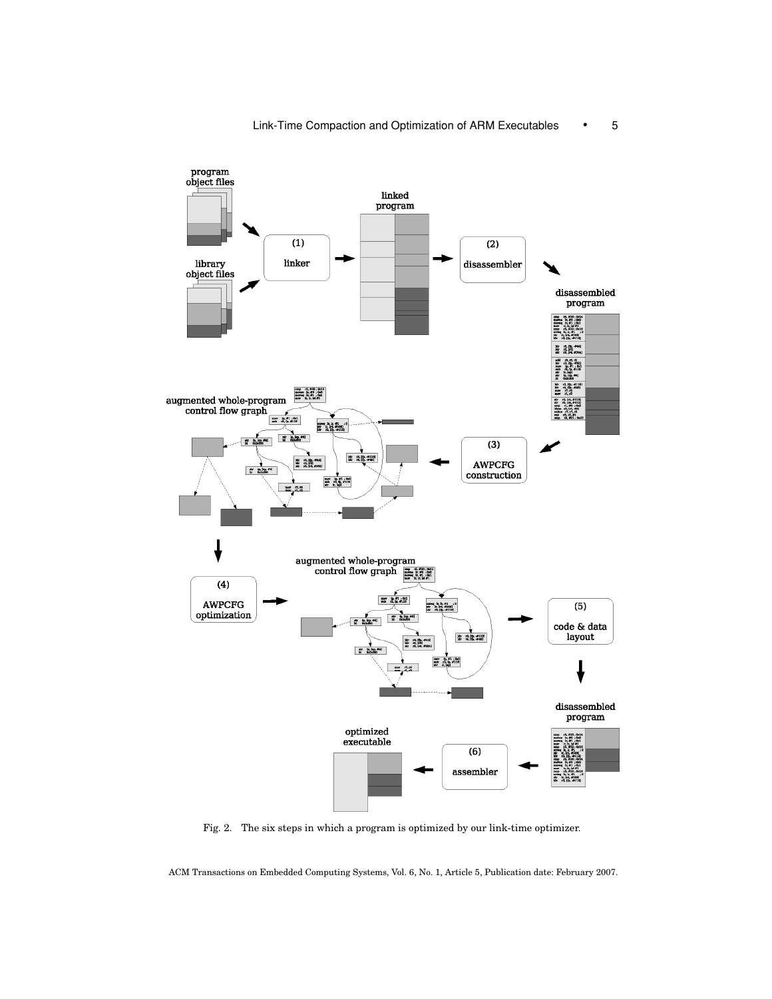



Fig. 2. The six steps in which a program is optimized by our link-time optimizer.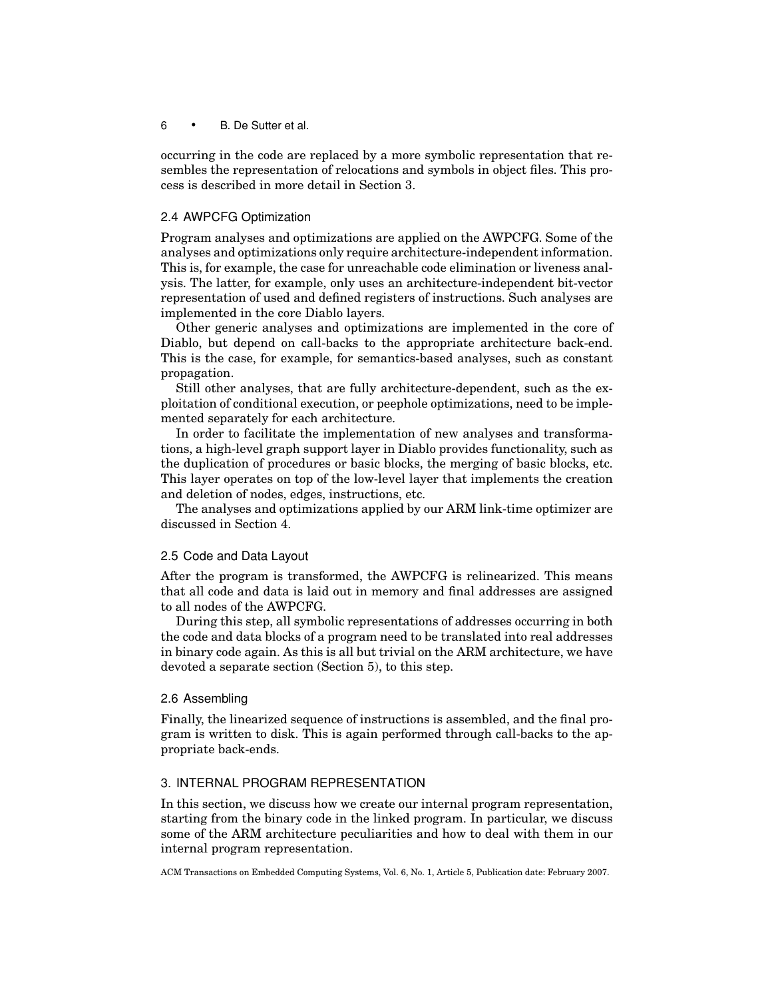occurring in the code are replaced by a more symbolic representation that resembles the representation of relocations and symbols in object files. This process is described in more detail in Section 3.

## 2.4 AWPCFG Optimization

Program analyses and optimizations are applied on the AWPCFG. Some of the analyses and optimizations only require architecture-independent information. This is, for example, the case for unreachable code elimination or liveness analysis. The latter, for example, only uses an architecture-independent bit-vector representation of used and defined registers of instructions. Such analyses are implemented in the core Diablo layers.

Other generic analyses and optimizations are implemented in the core of Diablo, but depend on call-backs to the appropriate architecture back-end. This is the case, for example, for semantics-based analyses, such as constant propagation.

Still other analyses, that are fully architecture-dependent, such as the exploitation of conditional execution, or peephole optimizations, need to be implemented separately for each architecture.

In order to facilitate the implementation of new analyses and transformations, a high-level graph support layer in Diablo provides functionality, such as the duplication of procedures or basic blocks, the merging of basic blocks, etc. This layer operates on top of the low-level layer that implements the creation and deletion of nodes, edges, instructions, etc.

The analyses and optimizations applied by our ARM link-time optimizer are discussed in Section 4.

## 2.5 Code and Data Layout

After the program is transformed, the AWPCFG is relinearized. This means that all code and data is laid out in memory and final addresses are assigned to all nodes of the AWPCFG.

During this step, all symbolic representations of addresses occurring in both the code and data blocks of a program need to be translated into real addresses in binary code again. As this is all but trivial on the ARM architecture, we have devoted a separate section (Section 5), to this step.

### 2.6 Assembling

Finally, the linearized sequence of instructions is assembled, and the final program is written to disk. This is again performed through call-backs to the appropriate back-ends.

# 3. INTERNAL PROGRAM REPRESENTATION

In this section, we discuss how we create our internal program representation, starting from the binary code in the linked program. In particular, we discuss some of the ARM architecture peculiarities and how to deal with them in our internal program representation.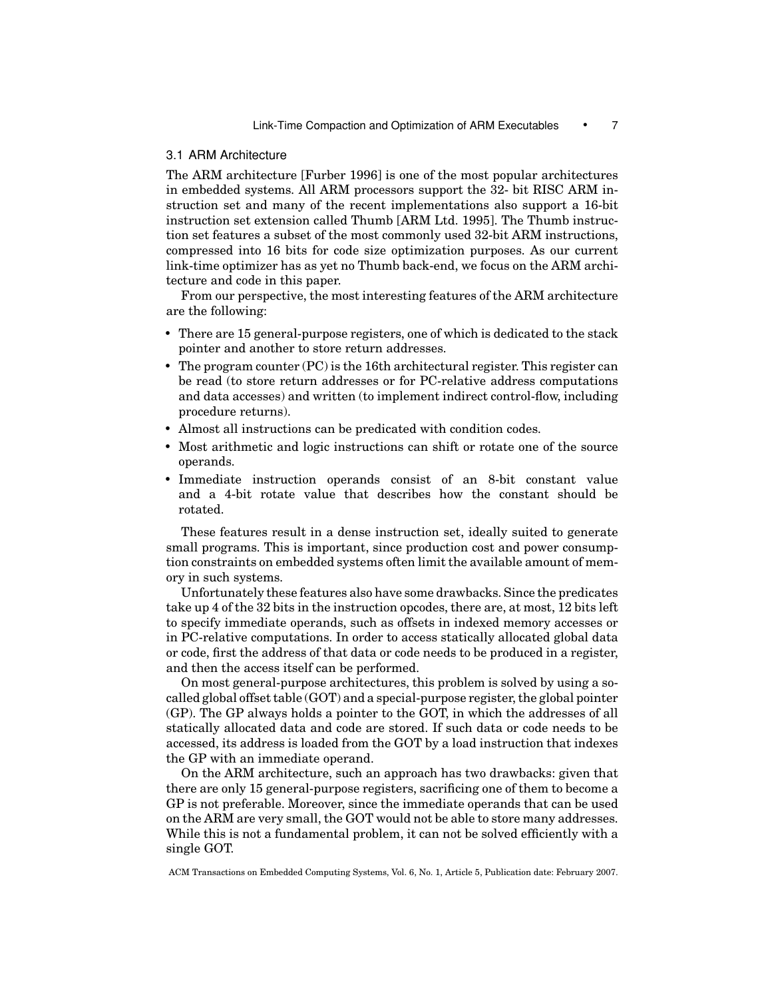### 3.1 ARM Architecture

The ARM architecture [Furber 1996] is one of the most popular architectures in embedded systems. All ARM processors support the 32- bit RISC ARM instruction set and many of the recent implementations also support a 16-bit instruction set extension called Thumb [ARM Ltd. 1995]. The Thumb instruction set features a subset of the most commonly used 32-bit ARM instructions, compressed into 16 bits for code size optimization purposes. As our current link-time optimizer has as yet no Thumb back-end, we focus on the ARM architecture and code in this paper.

From our perspective, the most interesting features of the ARM architecture are the following:

- There are 15 general-purpose registers, one of which is dedicated to the stack pointer and another to store return addresses.
- The program counter (PC) is the 16th architectural register. This register can be read (to store return addresses or for PC-relative address computations and data accesses) and written (to implement indirect control-flow, including procedure returns).
- Almost all instructions can be predicated with condition codes.
- Most arithmetic and logic instructions can shift or rotate one of the source operands.
- Immediate instruction operands consist of an 8-bit constant value and a 4-bit rotate value that describes how the constant should be rotated.

These features result in a dense instruction set, ideally suited to generate small programs. This is important, since production cost and power consumption constraints on embedded systems often limit the available amount of memory in such systems.

Unfortunately these features also have some drawbacks. Since the predicates take up 4 of the 32 bits in the instruction opcodes, there are, at most, 12 bits left to specify immediate operands, such as offsets in indexed memory accesses or in PC-relative computations. In order to access statically allocated global data or code, first the address of that data or code needs to be produced in a register, and then the access itself can be performed.

On most general-purpose architectures, this problem is solved by using a socalled global offset table (GOT) and a special-purpose register, the global pointer (GP). The GP always holds a pointer to the GOT, in which the addresses of all statically allocated data and code are stored. If such data or code needs to be accessed, its address is loaded from the GOT by a load instruction that indexes the GP with an immediate operand.

On the ARM architecture, such an approach has two drawbacks: given that there are only 15 general-purpose registers, sacrificing one of them to become a GP is not preferable. Moreover, since the immediate operands that can be used on the ARM are very small, the GOT would not be able to store many addresses. While this is not a fundamental problem, it can not be solved efficiently with a single GOT.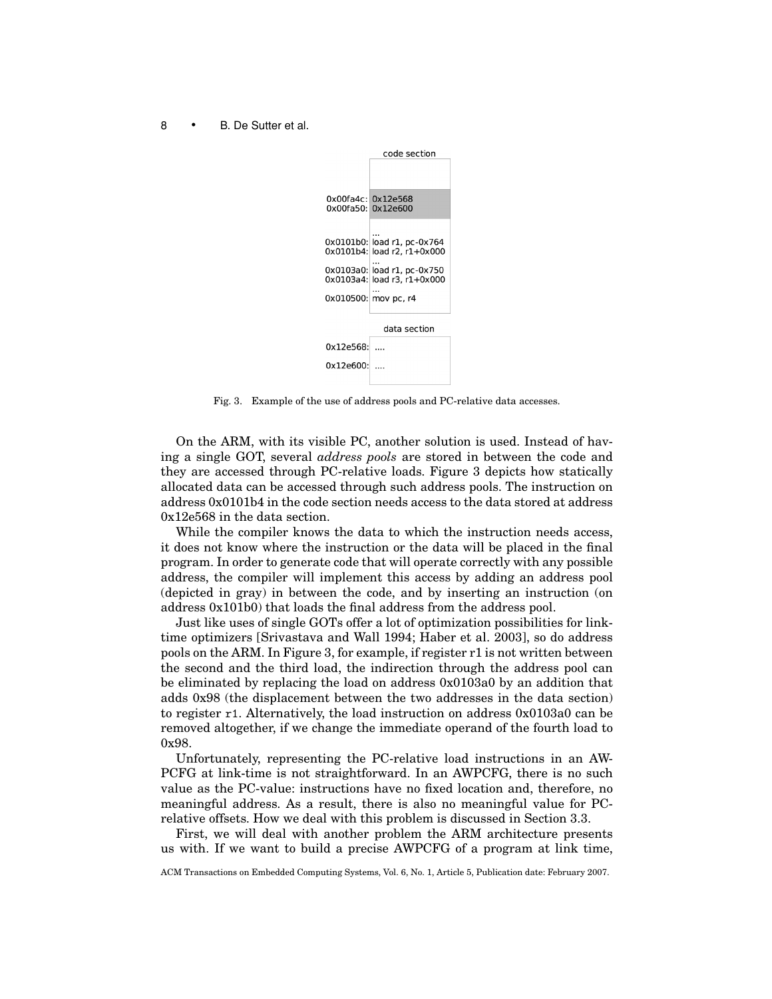

Fig. 3. Example of the use of address pools and PC-relative data accesses.

On the ARM, with its visible PC, another solution is used. Instead of having a single GOT, several *address pools* are stored in between the code and they are accessed through PC-relative loads. Figure 3 depicts how statically allocated data can be accessed through such address pools. The instruction on address 0x0101b4 in the code section needs access to the data stored at address 0x12e568 in the data section.

While the compiler knows the data to which the instruction needs access, it does not know where the instruction or the data will be placed in the final program. In order to generate code that will operate correctly with any possible address, the compiler will implement this access by adding an address pool (depicted in gray) in between the code, and by inserting an instruction (on address 0x101b0) that loads the final address from the address pool.

Just like uses of single GOTs offer a lot of optimization possibilities for linktime optimizers [Srivastava and Wall 1994; Haber et al. 2003], so do address pools on the ARM. In Figure 3, for example, if register r1 is not written between the second and the third load, the indirection through the address pool can be eliminated by replacing the load on address 0x0103a0 by an addition that adds 0x98 (the displacement between the two addresses in the data section) to register r1. Alternatively, the load instruction on address 0x0103a0 can be removed altogether, if we change the immediate operand of the fourth load to 0x98.

Unfortunately, representing the PC-relative load instructions in an AW-PCFG at link-time is not straightforward. In an AWPCFG, there is no such value as the PC-value: instructions have no fixed location and, therefore, no meaningful address. As a result, there is also no meaningful value for PCrelative offsets. How we deal with this problem is discussed in Section 3.3.

First, we will deal with another problem the ARM architecture presents us with. If we want to build a precise AWPCFG of a program at link time,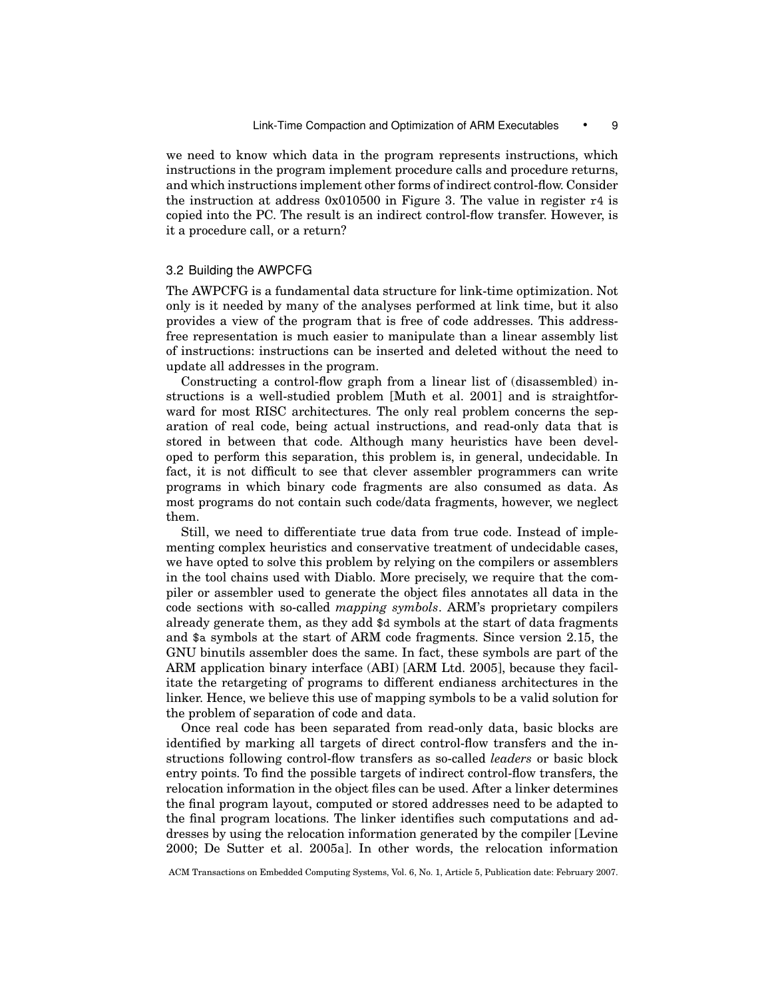we need to know which data in the program represents instructions, which instructions in the program implement procedure calls and procedure returns, and which instructions implement other forms of indirect control-flow. Consider the instruction at address  $0x010500$  in Figure 3. The value in register  $r4$  is copied into the PC. The result is an indirect control-flow transfer. However, is it a procedure call, or a return?

## 3.2 Building the AWPCFG

The AWPCFG is a fundamental data structure for link-time optimization. Not only is it needed by many of the analyses performed at link time, but it also provides a view of the program that is free of code addresses. This addressfree representation is much easier to manipulate than a linear assembly list of instructions: instructions can be inserted and deleted without the need to update all addresses in the program.

Constructing a control-flow graph from a linear list of (disassembled) instructions is a well-studied problem [Muth et al. 2001] and is straightforward for most RISC architectures. The only real problem concerns the separation of real code, being actual instructions, and read-only data that is stored in between that code. Although many heuristics have been developed to perform this separation, this problem is, in general, undecidable. In fact, it is not difficult to see that clever assembler programmers can write programs in which binary code fragments are also consumed as data. As most programs do not contain such code/data fragments, however, we neglect them.

Still, we need to differentiate true data from true code. Instead of implementing complex heuristics and conservative treatment of undecidable cases, we have opted to solve this problem by relying on the compilers or assemblers in the tool chains used with Diablo. More precisely, we require that the compiler or assembler used to generate the object files annotates all data in the code sections with so-called *mapping symbols*. ARM's proprietary compilers already generate them, as they add \$d symbols at the start of data fragments and \$a symbols at the start of ARM code fragments. Since version 2.15, the GNU binutils assembler does the same. In fact, these symbols are part of the ARM application binary interface (ABI) [ARM Ltd. 2005], because they facilitate the retargeting of programs to different endianess architectures in the linker. Hence, we believe this use of mapping symbols to be a valid solution for the problem of separation of code and data.

Once real code has been separated from read-only data, basic blocks are identified by marking all targets of direct control-flow transfers and the instructions following control-flow transfers as so-called *leaders* or basic block entry points. To find the possible targets of indirect control-flow transfers, the relocation information in the object files can be used. After a linker determines the final program layout, computed or stored addresses need to be adapted to the final program locations. The linker identifies such computations and addresses by using the relocation information generated by the compiler [Levine 2000; De Sutter et al. 2005a]. In other words, the relocation information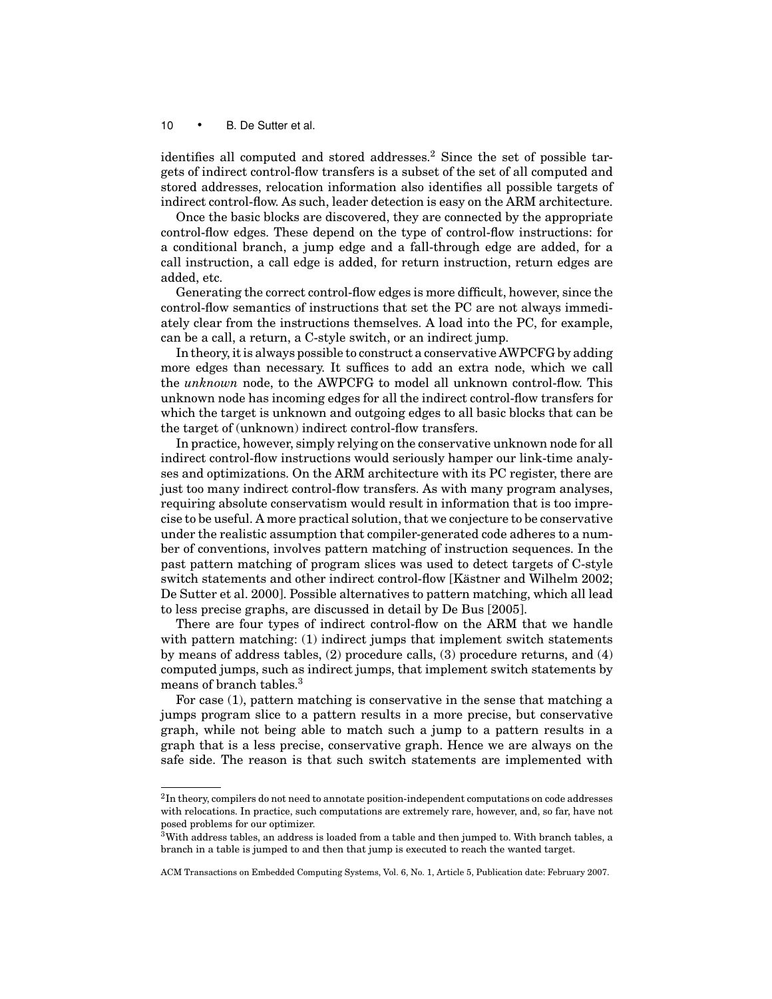identifies all computed and stored addresses.<sup>2</sup> Since the set of possible targets of indirect control-flow transfers is a subset of the set of all computed and stored addresses, relocation information also identifies all possible targets of indirect control-flow. As such, leader detection is easy on the ARM architecture.

Once the basic blocks are discovered, they are connected by the appropriate control-flow edges. These depend on the type of control-flow instructions: for a conditional branch, a jump edge and a fall-through edge are added, for a call instruction, a call edge is added, for return instruction, return edges are added, etc.

Generating the correct control-flow edges is more difficult, however, since the control-flow semantics of instructions that set the PC are not always immediately clear from the instructions themselves. A load into the PC, for example, can be a call, a return, a C-style switch, or an indirect jump.

In theory, it is always possible to construct a conservative AWPCFG by adding more edges than necessary. It suffices to add an extra node, which we call the *unknown* node, to the AWPCFG to model all unknown control-flow. This unknown node has incoming edges for all the indirect control-flow transfers for which the target is unknown and outgoing edges to all basic blocks that can be the target of (unknown) indirect control-flow transfers.

In practice, however, simply relying on the conservative unknown node for all indirect control-flow instructions would seriously hamper our link-time analyses and optimizations. On the ARM architecture with its PC register, there are just too many indirect control-flow transfers. As with many program analyses, requiring absolute conservatism would result in information that is too imprecise to be useful. A more practical solution, that we conjecture to be conservative under the realistic assumption that compiler-generated code adheres to a number of conventions, involves pattern matching of instruction sequences. In the past pattern matching of program slices was used to detect targets of C-style switch statements and other indirect control-flow [Kästner and Wilhelm 2002; De Sutter et al. 2000]. Possible alternatives to pattern matching, which all lead to less precise graphs, are discussed in detail by De Bus [2005].

There are four types of indirect control-flow on the ARM that we handle with pattern matching: (1) indirect jumps that implement switch statements by means of address tables, (2) procedure calls, (3) procedure returns, and (4) computed jumps, such as indirect jumps, that implement switch statements by means of branch tables.3

For case (1), pattern matching is conservative in the sense that matching a jumps program slice to a pattern results in a more precise, but conservative graph, while not being able to match such a jump to a pattern results in a graph that is a less precise, conservative graph. Hence we are always on the safe side. The reason is that such switch statements are implemented with

<sup>2</sup>In theory, compilers do not need to annotate position-independent computations on code addresses with relocations. In practice, such computations are extremely rare, however, and, so far, have not posed problems for our optimizer.

<sup>&</sup>lt;sup>3</sup>With address tables, an address is loaded from a table and then jumped to. With branch tables, a branch in a table is jumped to and then that jump is executed to reach the wanted target.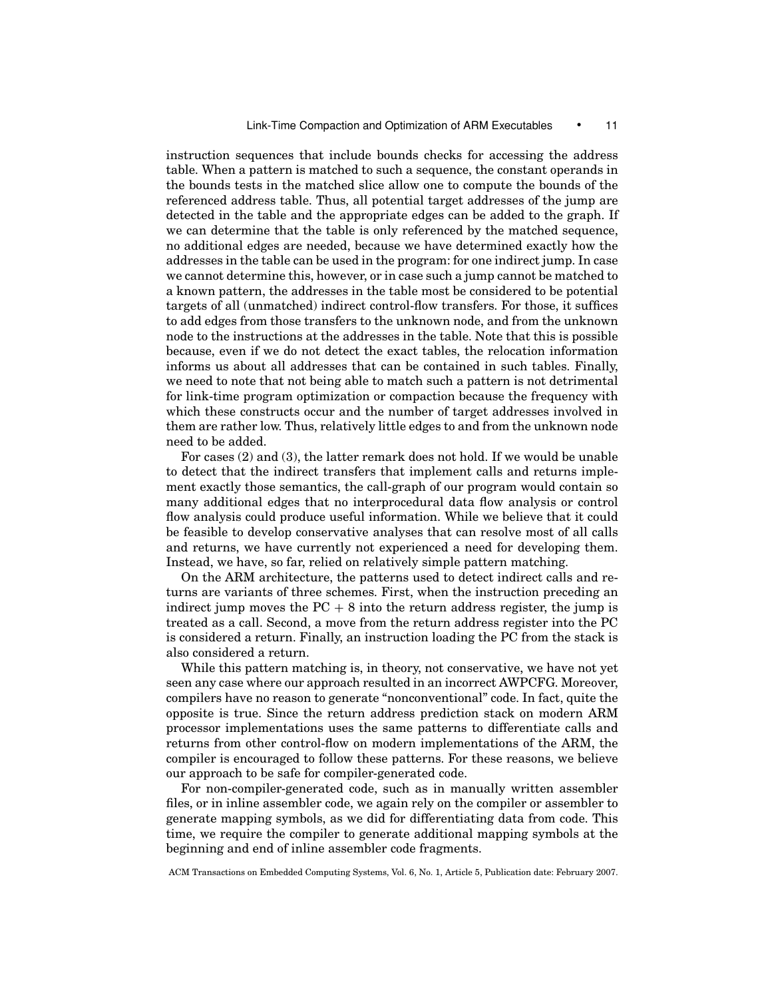instruction sequences that include bounds checks for accessing the address table. When a pattern is matched to such a sequence, the constant operands in the bounds tests in the matched slice allow one to compute the bounds of the referenced address table. Thus, all potential target addresses of the jump are detected in the table and the appropriate edges can be added to the graph. If we can determine that the table is only referenced by the matched sequence, no additional edges are needed, because we have determined exactly how the addresses in the table can be used in the program: for one indirect jump. In case we cannot determine this, however, or in case such a jump cannot be matched to a known pattern, the addresses in the table most be considered to be potential targets of all (unmatched) indirect control-flow transfers. For those, it suffices to add edges from those transfers to the unknown node, and from the unknown node to the instructions at the addresses in the table. Note that this is possible because, even if we do not detect the exact tables, the relocation information informs us about all addresses that can be contained in such tables. Finally, we need to note that not being able to match such a pattern is not detrimental for link-time program optimization or compaction because the frequency with which these constructs occur and the number of target addresses involved in them are rather low. Thus, relatively little edges to and from the unknown node need to be added.

For cases (2) and (3), the latter remark does not hold. If we would be unable to detect that the indirect transfers that implement calls and returns implement exactly those semantics, the call-graph of our program would contain so many additional edges that no interprocedural data flow analysis or control flow analysis could produce useful information. While we believe that it could be feasible to develop conservative analyses that can resolve most of all calls and returns, we have currently not experienced a need for developing them. Instead, we have, so far, relied on relatively simple pattern matching.

On the ARM architecture, the patterns used to detect indirect calls and returns are variants of three schemes. First, when the instruction preceding an indirect jump moves the  $PC + 8$  into the return address register, the jump is treated as a call. Second, a move from the return address register into the PC is considered a return. Finally, an instruction loading the PC from the stack is also considered a return.

While this pattern matching is, in theory, not conservative, we have not yet seen any case where our approach resulted in an incorrect AWPCFG. Moreover, compilers have no reason to generate "nonconventional" code. In fact, quite the opposite is true. Since the return address prediction stack on modern ARM processor implementations uses the same patterns to differentiate calls and returns from other control-flow on modern implementations of the ARM, the compiler is encouraged to follow these patterns. For these reasons, we believe our approach to be safe for compiler-generated code.

For non-compiler-generated code, such as in manually written assembler files, or in inline assembler code, we again rely on the compiler or assembler to generate mapping symbols, as we did for differentiating data from code. This time, we require the compiler to generate additional mapping symbols at the beginning and end of inline assembler code fragments.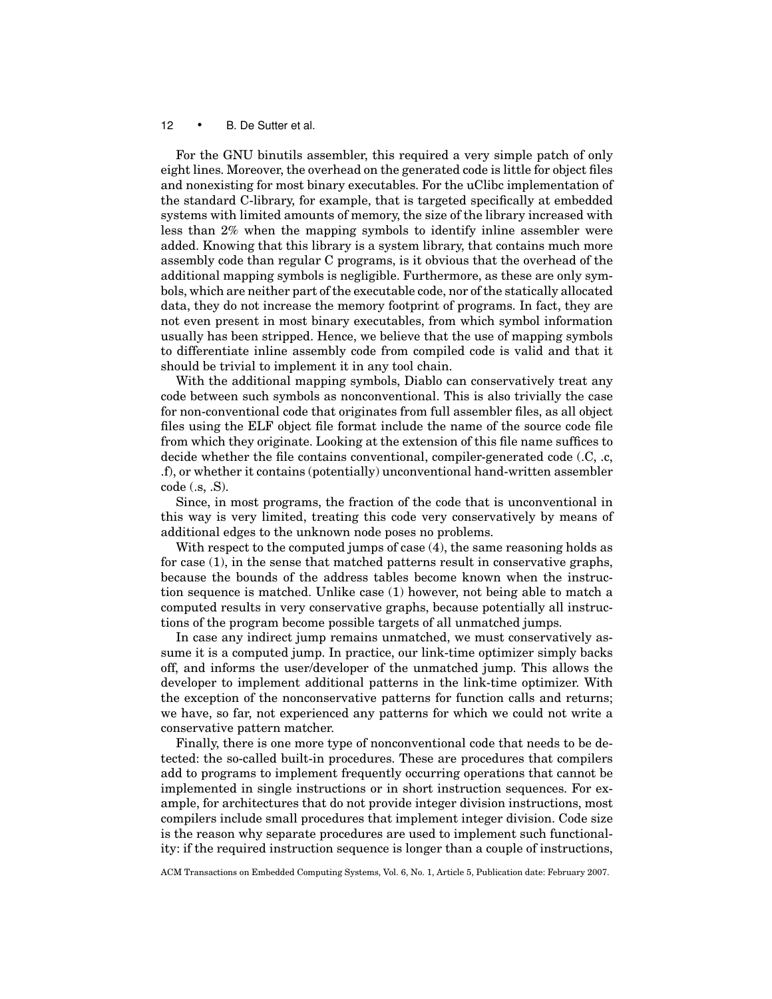For the GNU binutils assembler, this required a very simple patch of only eight lines. Moreover, the overhead on the generated code is little for object files and nonexisting for most binary executables. For the uClibc implementation of the standard C-library, for example, that is targeted specifically at embedded systems with limited amounts of memory, the size of the library increased with less than 2% when the mapping symbols to identify inline assembler were added. Knowing that this library is a system library, that contains much more assembly code than regular C programs, is it obvious that the overhead of the additional mapping symbols is negligible. Furthermore, as these are only symbols, which are neither part of the executable code, nor of the statically allocated data, they do not increase the memory footprint of programs. In fact, they are not even present in most binary executables, from which symbol information usually has been stripped. Hence, we believe that the use of mapping symbols to differentiate inline assembly code from compiled code is valid and that it should be trivial to implement it in any tool chain.

With the additional mapping symbols, Diablo can conservatively treat any code between such symbols as nonconventional. This is also trivially the case for non-conventional code that originates from full assembler files, as all object files using the ELF object file format include the name of the source code file from which they originate. Looking at the extension of this file name suffices to decide whether the file contains conventional, compiler-generated code (.C, .c, .f), or whether it contains (potentially) unconventional hand-written assembler code (.s, .S).

Since, in most programs, the fraction of the code that is unconventional in this way is very limited, treating this code very conservatively by means of additional edges to the unknown node poses no problems.

With respect to the computed jumps of case (4), the same reasoning holds as for case (1), in the sense that matched patterns result in conservative graphs, because the bounds of the address tables become known when the instruction sequence is matched. Unlike case (1) however, not being able to match a computed results in very conservative graphs, because potentially all instructions of the program become possible targets of all unmatched jumps.

In case any indirect jump remains unmatched, we must conservatively assume it is a computed jump. In practice, our link-time optimizer simply backs off, and informs the user/developer of the unmatched jump. This allows the developer to implement additional patterns in the link-time optimizer. With the exception of the nonconservative patterns for function calls and returns; we have, so far, not experienced any patterns for which we could not write a conservative pattern matcher.

Finally, there is one more type of nonconventional code that needs to be detected: the so-called built-in procedures. These are procedures that compilers add to programs to implement frequently occurring operations that cannot be implemented in single instructions or in short instruction sequences. For example, for architectures that do not provide integer division instructions, most compilers include small procedures that implement integer division. Code size is the reason why separate procedures are used to implement such functionality: if the required instruction sequence is longer than a couple of instructions,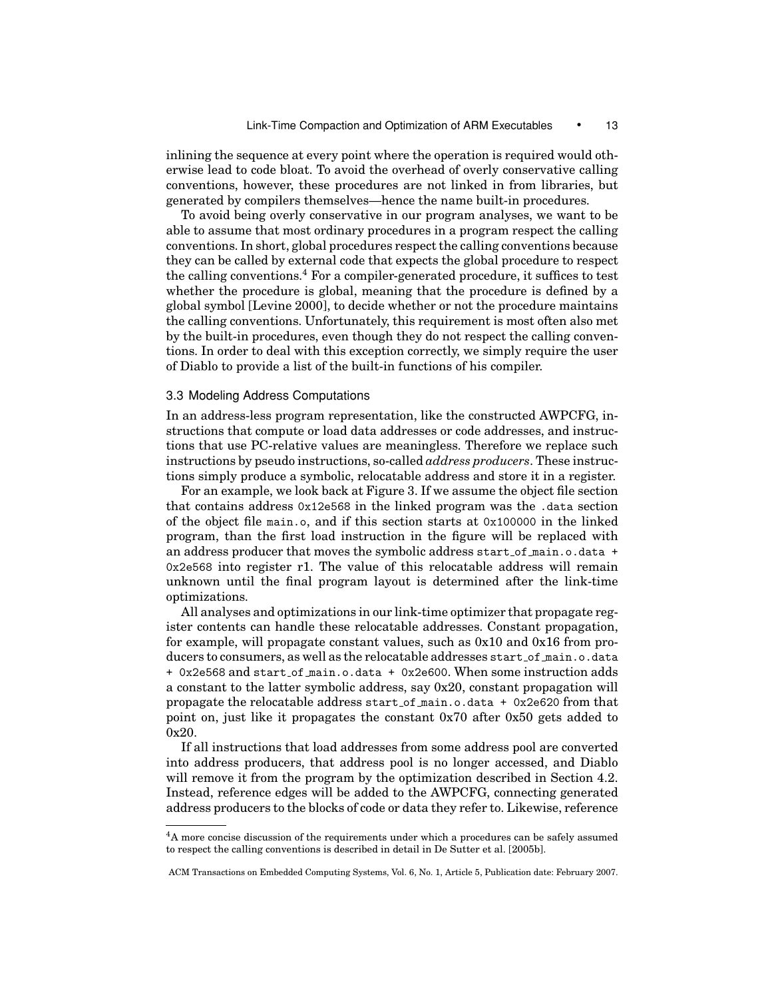inlining the sequence at every point where the operation is required would otherwise lead to code bloat. To avoid the overhead of overly conservative calling conventions, however, these procedures are not linked in from libraries, but generated by compilers themselves—hence the name built-in procedures.

To avoid being overly conservative in our program analyses, we want to be able to assume that most ordinary procedures in a program respect the calling conventions. In short, global procedures respect the calling conventions because they can be called by external code that expects the global procedure to respect the calling conventions.<sup>4</sup> For a compiler-generated procedure, it suffices to test whether the procedure is global, meaning that the procedure is defined by a global symbol [Levine 2000], to decide whether or not the procedure maintains the calling conventions. Unfortunately, this requirement is most often also met by the built-in procedures, even though they do not respect the calling conventions. In order to deal with this exception correctly, we simply require the user of Diablo to provide a list of the built-in functions of his compiler.

### 3.3 Modeling Address Computations

In an address-less program representation, like the constructed AWPCFG, instructions that compute or load data addresses or code addresses, and instructions that use PC-relative values are meaningless. Therefore we replace such instructions by pseudo instructions, so-called *address producers*. These instructions simply produce a symbolic, relocatable address and store it in a register.

For an example, we look back at Figure 3. If we assume the object file section that contains address 0x12e568 in the linked program was the .data section of the object file main.o, and if this section starts at 0x100000 in the linked program, than the first load instruction in the figure will be replaced with an address producer that moves the symbolic address start of main.o.data + 0x2e568 into register r1. The value of this relocatable address will remain unknown until the final program layout is determined after the link-time optimizations.

All analyses and optimizations in our link-time optimizer that propagate register contents can handle these relocatable addresses. Constant propagation, for example, will propagate constant values, such as 0x10 and 0x16 from producers to consumers, as well as the relocatable addresses start\_of\_main.o.data + 0x2e568 and start of main.o.data + 0x2e600. When some instruction adds a constant to the latter symbolic address, say 0x20, constant propagation will propagate the relocatable address start of main.o.data  $+$  0x2e620 from that point on, just like it propagates the constant 0x70 after 0x50 gets added to 0x20.

If all instructions that load addresses from some address pool are converted into address producers, that address pool is no longer accessed, and Diablo will remove it from the program by the optimization described in Section 4.2. Instead, reference edges will be added to the AWPCFG, connecting generated address producers to the blocks of code or data they refer to. Likewise, reference

<sup>&</sup>lt;sup>4</sup>A more concise discussion of the requirements under which a procedures can be safely assumed to respect the calling conventions is described in detail in De Sutter et al. [2005b].

ACM Transactions on Embedded Computing Systems, Vol. 6, No. 1, Article 5, Publication date: February 2007.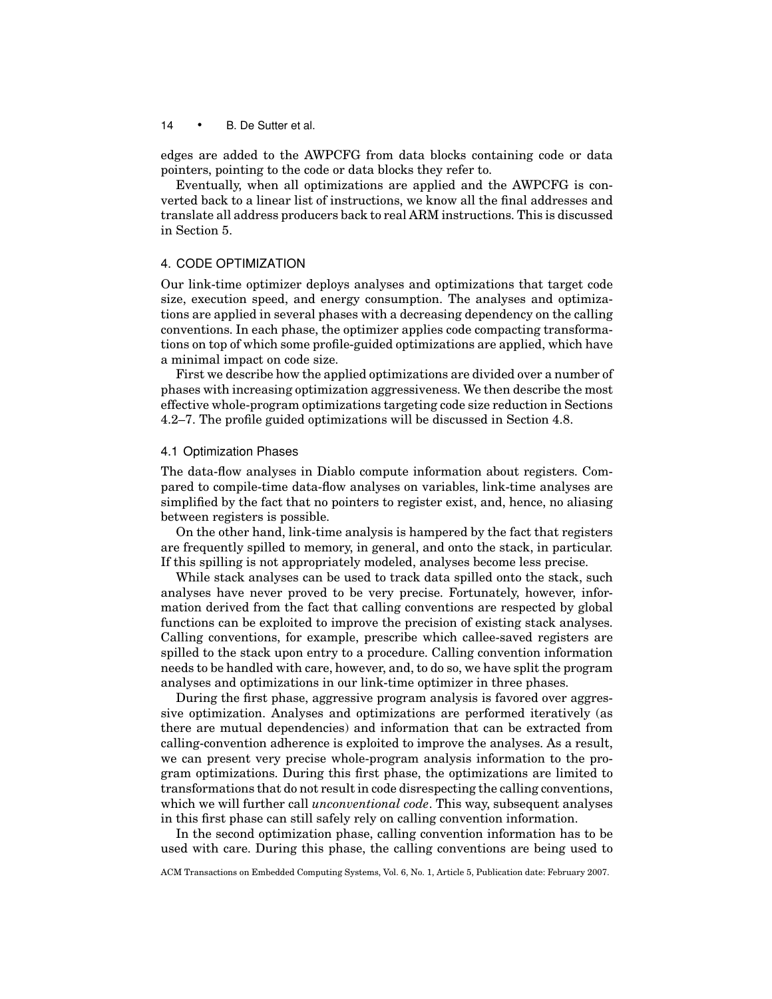edges are added to the AWPCFG from data blocks containing code or data pointers, pointing to the code or data blocks they refer to.

Eventually, when all optimizations are applied and the AWPCFG is converted back to a linear list of instructions, we know all the final addresses and translate all address producers back to real ARM instructions. This is discussed in Section 5.

## 4. CODE OPTIMIZATION

Our link-time optimizer deploys analyses and optimizations that target code size, execution speed, and energy consumption. The analyses and optimizations are applied in several phases with a decreasing dependency on the calling conventions. In each phase, the optimizer applies code compacting transformations on top of which some profile-guided optimizations are applied, which have a minimal impact on code size.

First we describe how the applied optimizations are divided over a number of phases with increasing optimization aggressiveness. We then describe the most effective whole-program optimizations targeting code size reduction in Sections 4.2–7. The profile guided optimizations will be discussed in Section 4.8.

### 4.1 Optimization Phases

The data-flow analyses in Diablo compute information about registers. Compared to compile-time data-flow analyses on variables, link-time analyses are simplified by the fact that no pointers to register exist, and, hence, no aliasing between registers is possible.

On the other hand, link-time analysis is hampered by the fact that registers are frequently spilled to memory, in general, and onto the stack, in particular. If this spilling is not appropriately modeled, analyses become less precise.

While stack analyses can be used to track data spilled onto the stack, such analyses have never proved to be very precise. Fortunately, however, information derived from the fact that calling conventions are respected by global functions can be exploited to improve the precision of existing stack analyses. Calling conventions, for example, prescribe which callee-saved registers are spilled to the stack upon entry to a procedure. Calling convention information needs to be handled with care, however, and, to do so, we have split the program analyses and optimizations in our link-time optimizer in three phases.

During the first phase, aggressive program analysis is favored over aggressive optimization. Analyses and optimizations are performed iteratively (as there are mutual dependencies) and information that can be extracted from calling-convention adherence is exploited to improve the analyses. As a result, we can present very precise whole-program analysis information to the program optimizations. During this first phase, the optimizations are limited to transformations that do not result in code disrespecting the calling conventions, which we will further call *unconventional code*. This way, subsequent analyses in this first phase can still safely rely on calling convention information.

In the second optimization phase, calling convention information has to be used with care. During this phase, the calling conventions are being used to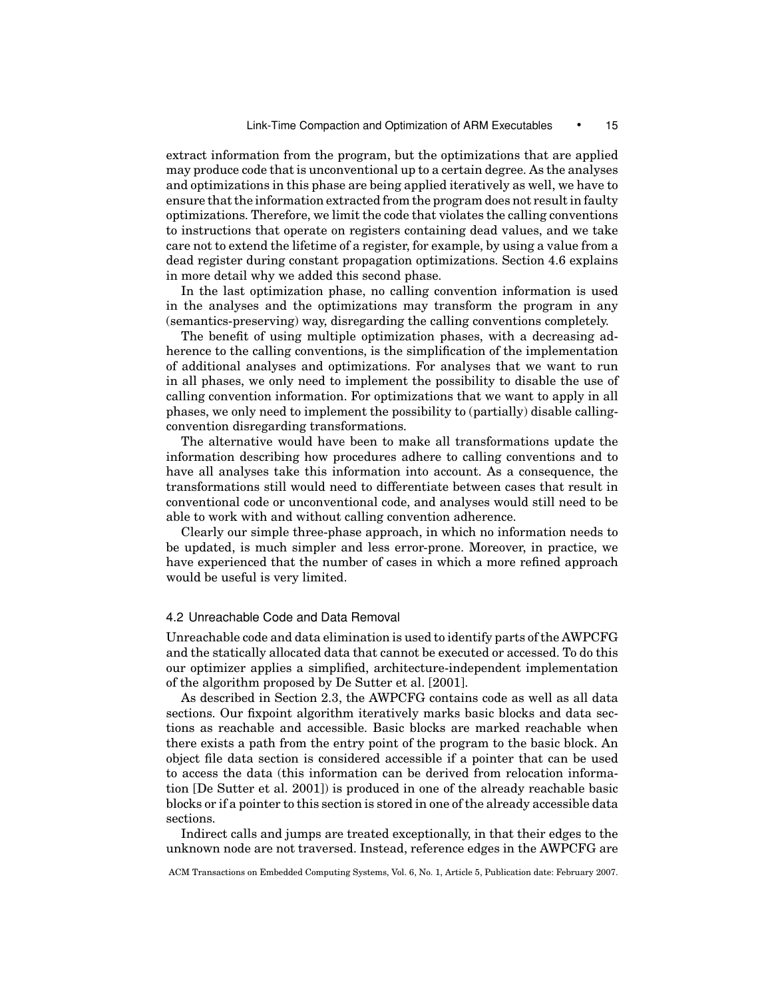extract information from the program, but the optimizations that are applied may produce code that is unconventional up to a certain degree. As the analyses and optimizations in this phase are being applied iteratively as well, we have to ensure that the information extracted from the program does not result in faulty optimizations. Therefore, we limit the code that violates the calling conventions to instructions that operate on registers containing dead values, and we take care not to extend the lifetime of a register, for example, by using a value from a dead register during constant propagation optimizations. Section 4.6 explains in more detail why we added this second phase.

In the last optimization phase, no calling convention information is used in the analyses and the optimizations may transform the program in any (semantics-preserving) way, disregarding the calling conventions completely.

The benefit of using multiple optimization phases, with a decreasing adherence to the calling conventions, is the simplification of the implementation of additional analyses and optimizations. For analyses that we want to run in all phases, we only need to implement the possibility to disable the use of calling convention information. For optimizations that we want to apply in all phases, we only need to implement the possibility to (partially) disable callingconvention disregarding transformations.

The alternative would have been to make all transformations update the information describing how procedures adhere to calling conventions and to have all analyses take this information into account. As a consequence, the transformations still would need to differentiate between cases that result in conventional code or unconventional code, and analyses would still need to be able to work with and without calling convention adherence.

Clearly our simple three-phase approach, in which no information needs to be updated, is much simpler and less error-prone. Moreover, in practice, we have experienced that the number of cases in which a more refined approach would be useful is very limited.

## 4.2 Unreachable Code and Data Removal

Unreachable code and data elimination is used to identify parts of the AWPCFG and the statically allocated data that cannot be executed or accessed. To do this our optimizer applies a simplified, architecture-independent implementation of the algorithm proposed by De Sutter et al. [2001].

As described in Section 2.3, the AWPCFG contains code as well as all data sections. Our fixpoint algorithm iteratively marks basic blocks and data sections as reachable and accessible. Basic blocks are marked reachable when there exists a path from the entry point of the program to the basic block. An object file data section is considered accessible if a pointer that can be used to access the data (this information can be derived from relocation information [De Sutter et al. 2001]) is produced in one of the already reachable basic blocks or if a pointer to this section is stored in one of the already accessible data sections.

Indirect calls and jumps are treated exceptionally, in that their edges to the unknown node are not traversed. Instead, reference edges in the AWPCFG are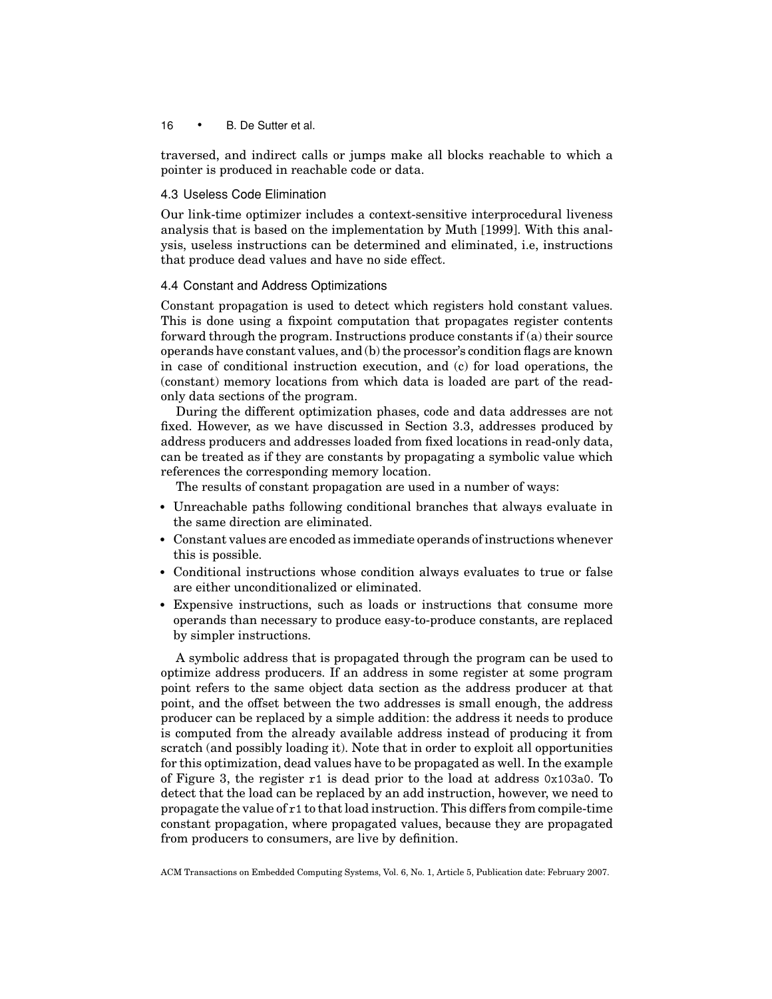traversed, and indirect calls or jumps make all blocks reachable to which a pointer is produced in reachable code or data.

## 4.3 Useless Code Elimination

Our link-time optimizer includes a context-sensitive interprocedural liveness analysis that is based on the implementation by Muth [1999]. With this analysis, useless instructions can be determined and eliminated, i.e, instructions that produce dead values and have no side effect.

### 4.4 Constant and Address Optimizations

Constant propagation is used to detect which registers hold constant values. This is done using a fixpoint computation that propagates register contents forward through the program. Instructions produce constants if  $(a)$  their source operands have constant values, and (b) the processor's condition flags are known in case of conditional instruction execution, and (c) for load operations, the (constant) memory locations from which data is loaded are part of the readonly data sections of the program.

During the different optimization phases, code and data addresses are not fixed. However, as we have discussed in Section 3.3, addresses produced by address producers and addresses loaded from fixed locations in read-only data, can be treated as if they are constants by propagating a symbolic value which references the corresponding memory location.

The results of constant propagation are used in a number of ways:

- Unreachable paths following conditional branches that always evaluate in the same direction are eliminated.
- Constant values are encoded as immediate operands of instructions whenever this is possible.
- Conditional instructions whose condition always evaluates to true or false are either unconditionalized or eliminated.
- Expensive instructions, such as loads or instructions that consume more operands than necessary to produce easy-to-produce constants, are replaced by simpler instructions.

A symbolic address that is propagated through the program can be used to optimize address producers. If an address in some register at some program point refers to the same object data section as the address producer at that point, and the offset between the two addresses is small enough, the address producer can be replaced by a simple addition: the address it needs to produce is computed from the already available address instead of producing it from scratch (and possibly loading it). Note that in order to exploit all opportunities for this optimization, dead values have to be propagated as well. In the example of Figure 3, the register  $r1$  is dead prior to the load at address 0x103a0. To detect that the load can be replaced by an add instruction, however, we need to propagate the value of r1 to that load instruction. This differs from compile-time constant propagation, where propagated values, because they are propagated from producers to consumers, are live by definition.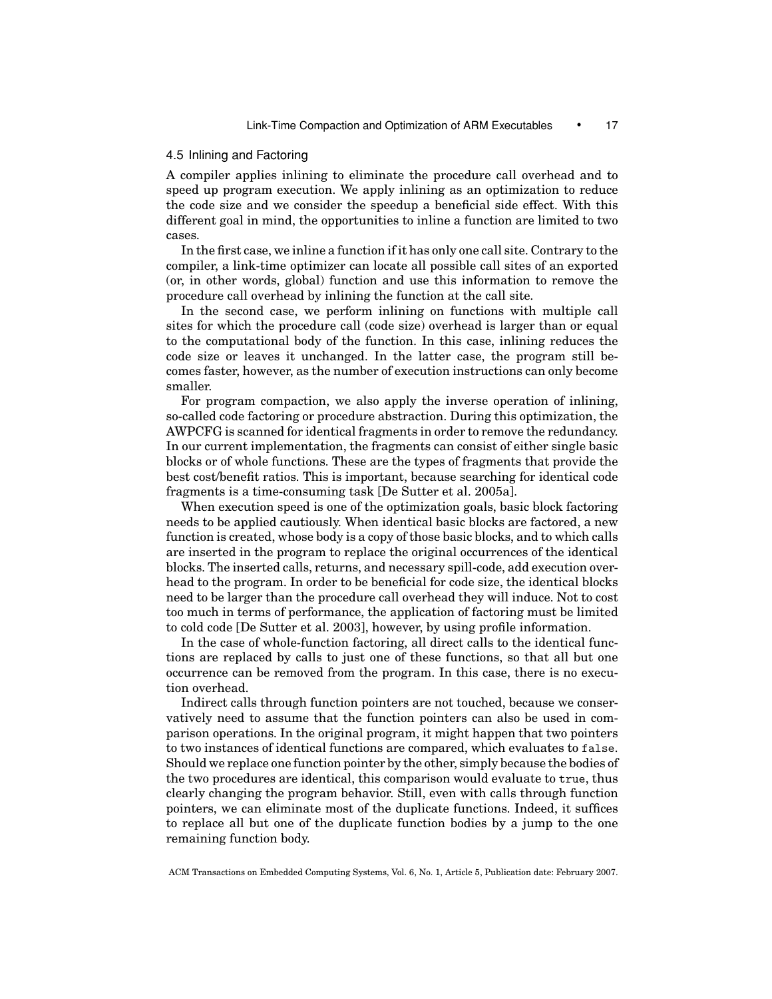### 4.5 Inlining and Factoring

A compiler applies inlining to eliminate the procedure call overhead and to speed up program execution. We apply inlining as an optimization to reduce the code size and we consider the speedup a beneficial side effect. With this different goal in mind, the opportunities to inline a function are limited to two cases.

In the first case, we inline a function if it has only one call site. Contrary to the compiler, a link-time optimizer can locate all possible call sites of an exported (or, in other words, global) function and use this information to remove the procedure call overhead by inlining the function at the call site.

In the second case, we perform inlining on functions with multiple call sites for which the procedure call (code size) overhead is larger than or equal to the computational body of the function. In this case, inlining reduces the code size or leaves it unchanged. In the latter case, the program still becomes faster, however, as the number of execution instructions can only become smaller.

For program compaction, we also apply the inverse operation of inlining, so-called code factoring or procedure abstraction. During this optimization, the AWPCFG is scanned for identical fragments in order to remove the redundancy. In our current implementation, the fragments can consist of either single basic blocks or of whole functions. These are the types of fragments that provide the best cost/benefit ratios. This is important, because searching for identical code fragments is a time-consuming task [De Sutter et al. 2005a].

When execution speed is one of the optimization goals, basic block factoring needs to be applied cautiously. When identical basic blocks are factored, a new function is created, whose body is a copy of those basic blocks, and to which calls are inserted in the program to replace the original occurrences of the identical blocks. The inserted calls, returns, and necessary spill-code, add execution overhead to the program. In order to be beneficial for code size, the identical blocks need to be larger than the procedure call overhead they will induce. Not to cost too much in terms of performance, the application of factoring must be limited to cold code [De Sutter et al. 2003], however, by using profile information.

In the case of whole-function factoring, all direct calls to the identical functions are replaced by calls to just one of these functions, so that all but one occurrence can be removed from the program. In this case, there is no execution overhead.

Indirect calls through function pointers are not touched, because we conservatively need to assume that the function pointers can also be used in comparison operations. In the original program, it might happen that two pointers to two instances of identical functions are compared, which evaluates to false. Should we replace one function pointer by the other, simply because the bodies of the two procedures are identical, this comparison would evaluate to true, thus clearly changing the program behavior. Still, even with calls through function pointers, we can eliminate most of the duplicate functions. Indeed, it suffices to replace all but one of the duplicate function bodies by a jump to the one remaining function body.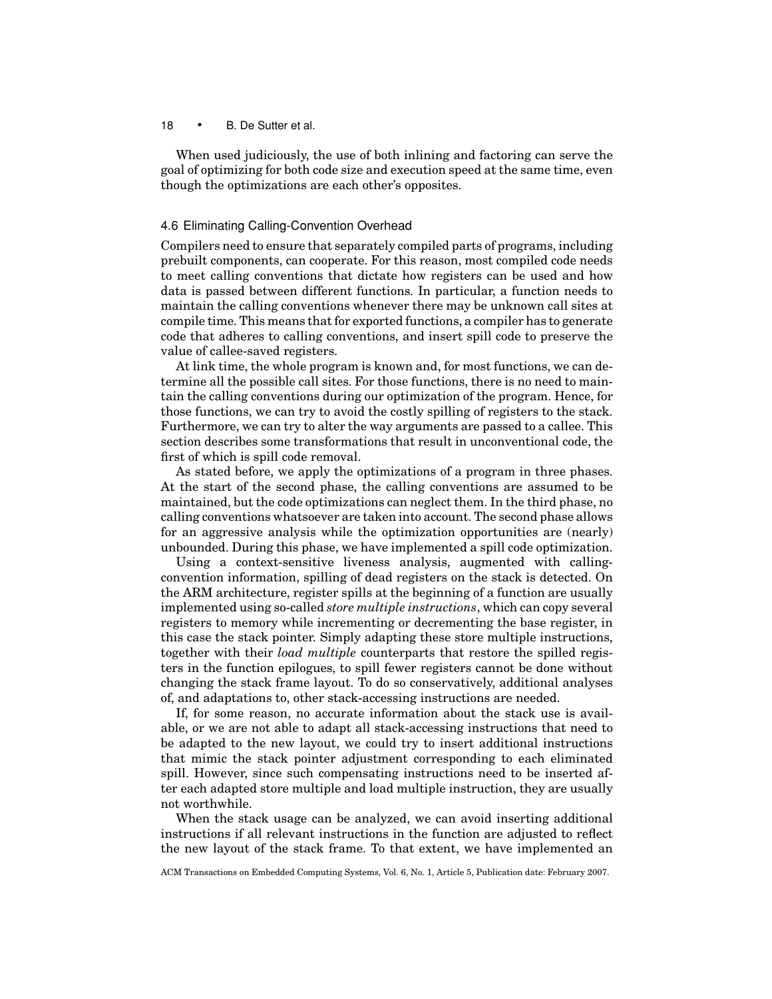When used judiciously, the use of both inlining and factoring can serve the goal of optimizing for both code size and execution speed at the same time, even though the optimizations are each other's opposites.

#### 4.6 Eliminating Calling-Convention Overhead

Compilers need to ensure that separately compiled parts of programs, including prebuilt components, can cooperate. For this reason, most compiled code needs to meet calling conventions that dictate how registers can be used and how data is passed between different functions. In particular, a function needs to maintain the calling conventions whenever there may be unknown call sites at compile time. This means that for exported functions, a compiler has to generate code that adheres to calling conventions, and insert spill code to preserve the value of callee-saved registers.

At link time, the whole program is known and, for most functions, we can determine all the possible call sites. For those functions, there is no need to maintain the calling conventions during our optimization of the program. Hence, for those functions, we can try to avoid the costly spilling of registers to the stack. Furthermore, we can try to alter the way arguments are passed to a callee. This section describes some transformations that result in unconventional code, the first of which is spill code removal.

As stated before, we apply the optimizations of a program in three phases. At the start of the second phase, the calling conventions are assumed to be maintained, but the code optimizations can neglect them. In the third phase, no calling conventions whatsoever are taken into account. The second phase allows for an aggressive analysis while the optimization opportunities are (nearly) unbounded. During this phase, we have implemented a spill code optimization.

Using a context-sensitive liveness analysis, augmented with callingconvention information, spilling of dead registers on the stack is detected. On the ARM architecture, register spills at the beginning of a function are usually implemented using so-called *store multiple instructions*, which can copy several registers to memory while incrementing or decrementing the base register, in this case the stack pointer. Simply adapting these store multiple instructions, together with their *load multiple* counterparts that restore the spilled registers in the function epilogues, to spill fewer registers cannot be done without changing the stack frame layout. To do so conservatively, additional analyses of, and adaptations to, other stack-accessing instructions are needed.

If, for some reason, no accurate information about the stack use is available, or we are not able to adapt all stack-accessing instructions that need to be adapted to the new layout, we could try to insert additional instructions that mimic the stack pointer adjustment corresponding to each eliminated spill. However, since such compensating instructions need to be inserted after each adapted store multiple and load multiple instruction, they are usually not worthwhile.

When the stack usage can be analyzed, we can avoid inserting additional instructions if all relevant instructions in the function are adjusted to reflect the new layout of the stack frame. To that extent, we have implemented an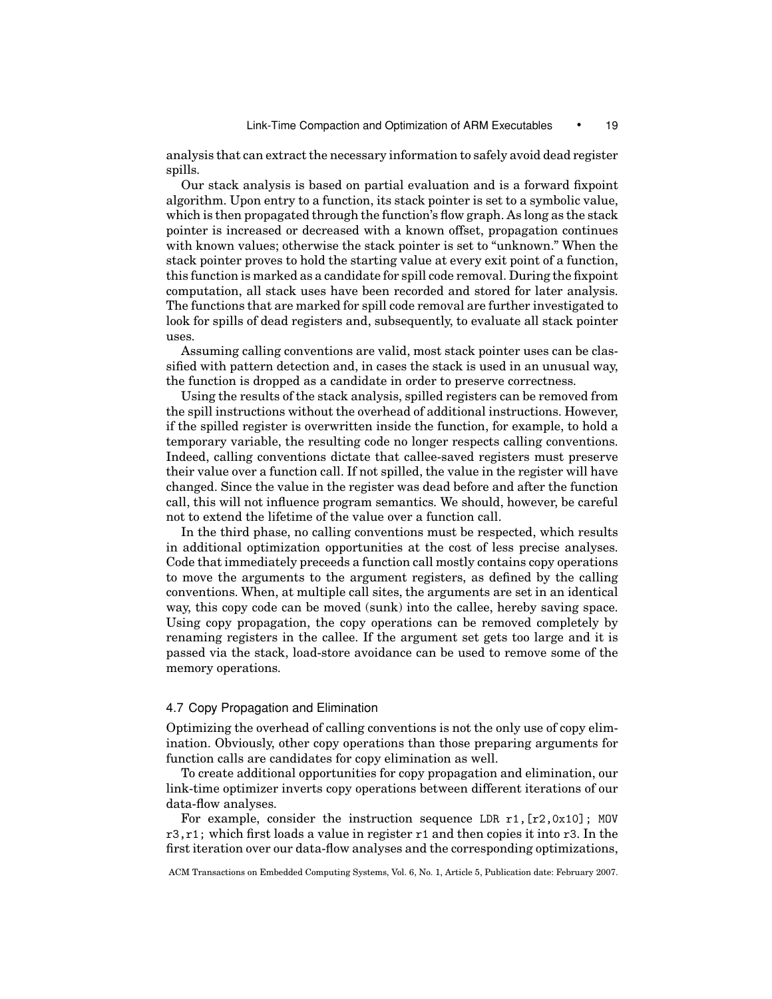analysis that can extract the necessary information to safely avoid dead register spills.

Our stack analysis is based on partial evaluation and is a forward fixpoint algorithm. Upon entry to a function, its stack pointer is set to a symbolic value, which is then propagated through the function's flow graph. As long as the stack pointer is increased or decreased with a known offset, propagation continues with known values; otherwise the stack pointer is set to "unknown." When the stack pointer proves to hold the starting value at every exit point of a function, this function is marked as a candidate for spill code removal. During the fixpoint computation, all stack uses have been recorded and stored for later analysis. The functions that are marked for spill code removal are further investigated to look for spills of dead registers and, subsequently, to evaluate all stack pointer uses.

Assuming calling conventions are valid, most stack pointer uses can be classified with pattern detection and, in cases the stack is used in an unusual way, the function is dropped as a candidate in order to preserve correctness.

Using the results of the stack analysis, spilled registers can be removed from the spill instructions without the overhead of additional instructions. However, if the spilled register is overwritten inside the function, for example, to hold a temporary variable, the resulting code no longer respects calling conventions. Indeed, calling conventions dictate that callee-saved registers must preserve their value over a function call. If not spilled, the value in the register will have changed. Since the value in the register was dead before and after the function call, this will not influence program semantics. We should, however, be careful not to extend the lifetime of the value over a function call.

In the third phase, no calling conventions must be respected, which results in additional optimization opportunities at the cost of less precise analyses. Code that immediately preceeds a function call mostly contains copy operations to move the arguments to the argument registers, as defined by the calling conventions. When, at multiple call sites, the arguments are set in an identical way, this copy code can be moved (sunk) into the callee, hereby saving space. Using copy propagation, the copy operations can be removed completely by renaming registers in the callee. If the argument set gets too large and it is passed via the stack, load-store avoidance can be used to remove some of the memory operations.

### 4.7 Copy Propagation and Elimination

Optimizing the overhead of calling conventions is not the only use of copy elimination. Obviously, other copy operations than those preparing arguments for function calls are candidates for copy elimination as well.

To create additional opportunities for copy propagation and elimination, our link-time optimizer inverts copy operations between different iterations of our data-flow analyses.

For example, consider the instruction sequence LDR  $r1$ ,  $[r2,0x10]$ ; MOV  $r3, r1$ ; which first loads a value in register  $r1$  and then copies it into  $r3$ . In the first iteration over our data-flow analyses and the corresponding optimizations,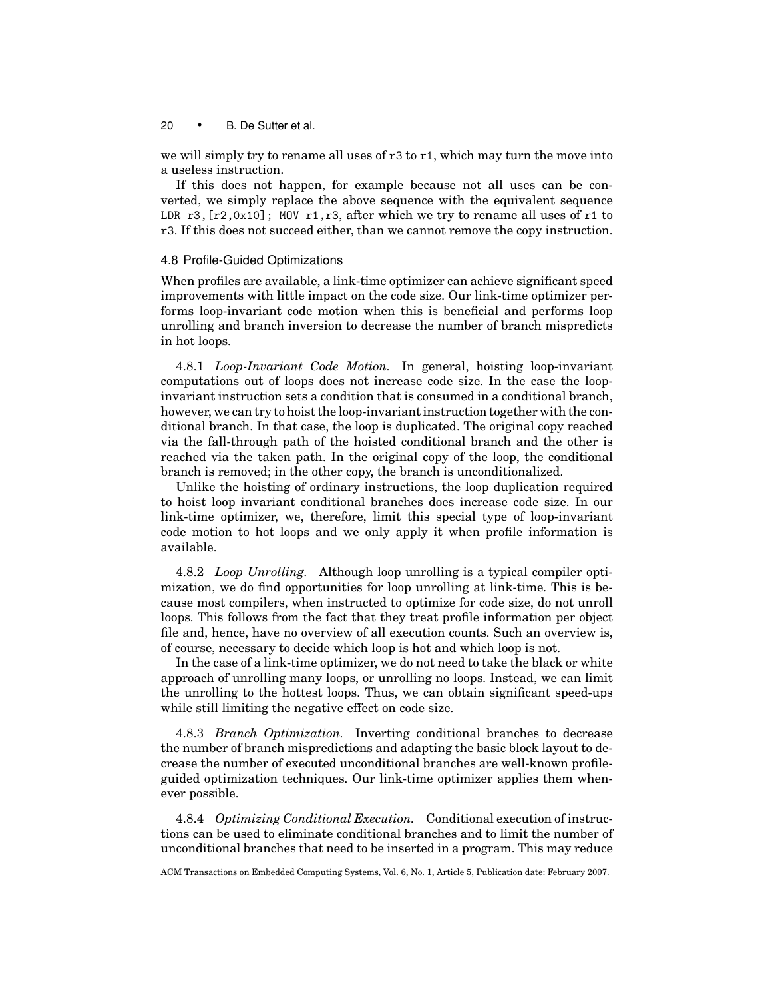we will simply try to rename all uses of r3 to r1, which may turn the move into a useless instruction.

If this does not happen, for example because not all uses can be converted, we simply replace the above sequence with the equivalent sequence LDR r3,  $[r2,0x10]$ ; MOV r1, r3, after which we try to rename all uses of r1 to r3. If this does not succeed either, than we cannot remove the copy instruction.

### 4.8 Profile-Guided Optimizations

When profiles are available, a link-time optimizer can achieve significant speed improvements with little impact on the code size. Our link-time optimizer performs loop-invariant code motion when this is beneficial and performs loop unrolling and branch inversion to decrease the number of branch mispredicts in hot loops.

4.8.1 *Loop-Invariant Code Motion.* In general, hoisting loop-invariant computations out of loops does not increase code size. In the case the loopinvariant instruction sets a condition that is consumed in a conditional branch, however, we can try to hoist the loop-invariant instruction together with the conditional branch. In that case, the loop is duplicated. The original copy reached via the fall-through path of the hoisted conditional branch and the other is reached via the taken path. In the original copy of the loop, the conditional branch is removed; in the other copy, the branch is unconditionalized.

Unlike the hoisting of ordinary instructions, the loop duplication required to hoist loop invariant conditional branches does increase code size. In our link-time optimizer, we, therefore, limit this special type of loop-invariant code motion to hot loops and we only apply it when profile information is available.

4.8.2 *Loop Unrolling.* Although loop unrolling is a typical compiler optimization, we do find opportunities for loop unrolling at link-time. This is because most compilers, when instructed to optimize for code size, do not unroll loops. This follows from the fact that they treat profile information per object file and, hence, have no overview of all execution counts. Such an overview is, of course, necessary to decide which loop is hot and which loop is not.

In the case of a link-time optimizer, we do not need to take the black or white approach of unrolling many loops, or unrolling no loops. Instead, we can limit the unrolling to the hottest loops. Thus, we can obtain significant speed-ups while still limiting the negative effect on code size.

4.8.3 *Branch Optimization.* Inverting conditional branches to decrease the number of branch mispredictions and adapting the basic block layout to decrease the number of executed unconditional branches are well-known profileguided optimization techniques. Our link-time optimizer applies them whenever possible.

4.8.4 *Optimizing Conditional Execution.* Conditional execution of instructions can be used to eliminate conditional branches and to limit the number of unconditional branches that need to be inserted in a program. This may reduce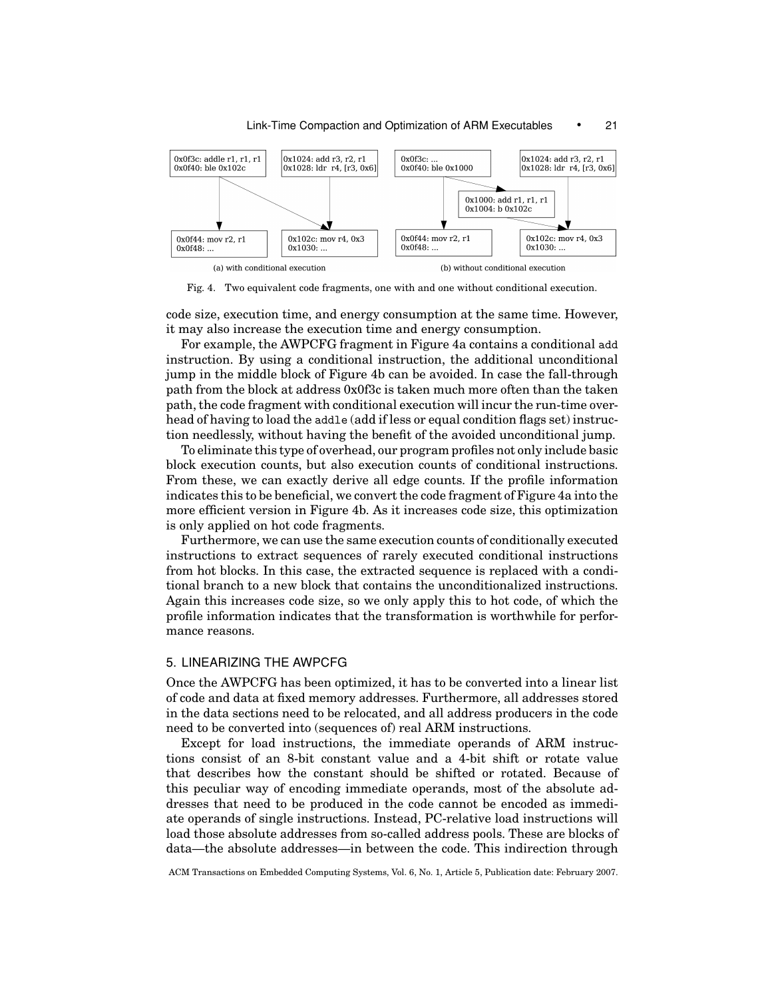

Fig. 4. Two equivalent code fragments, one with and one without conditional execution.

code size, execution time, and energy consumption at the same time. However, it may also increase the execution time and energy consumption.

For example, the AWPCFG fragment in Figure 4a contains a conditional add instruction. By using a conditional instruction, the additional unconditional jump in the middle block of Figure 4b can be avoided. In case the fall-through path from the block at address 0x0f3c is taken much more often than the taken path, the code fragment with conditional execution will incur the run-time overhead of having to load the addle (add if less or equal condition flags set) instruction needlessly, without having the benefit of the avoided unconditional jump.

To eliminate this type of overhead, our program profiles not only include basic block execution counts, but also execution counts of conditional instructions. From these, we can exactly derive all edge counts. If the profile information indicates this to be beneficial, we convert the code fragment of Figure 4a into the more efficient version in Figure 4b. As it increases code size, this optimization is only applied on hot code fragments.

Furthermore, we can use the same execution counts of conditionally executed instructions to extract sequences of rarely executed conditional instructions from hot blocks. In this case, the extracted sequence is replaced with a conditional branch to a new block that contains the unconditionalized instructions. Again this increases code size, so we only apply this to hot code, of which the profile information indicates that the transformation is worthwhile for performance reasons.

### 5. LINEARIZING THE AWPCFG

Once the AWPCFG has been optimized, it has to be converted into a linear list of code and data at fixed memory addresses. Furthermore, all addresses stored in the data sections need to be relocated, and all address producers in the code need to be converted into (sequences of) real ARM instructions.

Except for load instructions, the immediate operands of ARM instructions consist of an 8-bit constant value and a 4-bit shift or rotate value that describes how the constant should be shifted or rotated. Because of this peculiar way of encoding immediate operands, most of the absolute addresses that need to be produced in the code cannot be encoded as immediate operands of single instructions. Instead, PC-relative load instructions will load those absolute addresses from so-called address pools. These are blocks of data—the absolute addresses—in between the code. This indirection through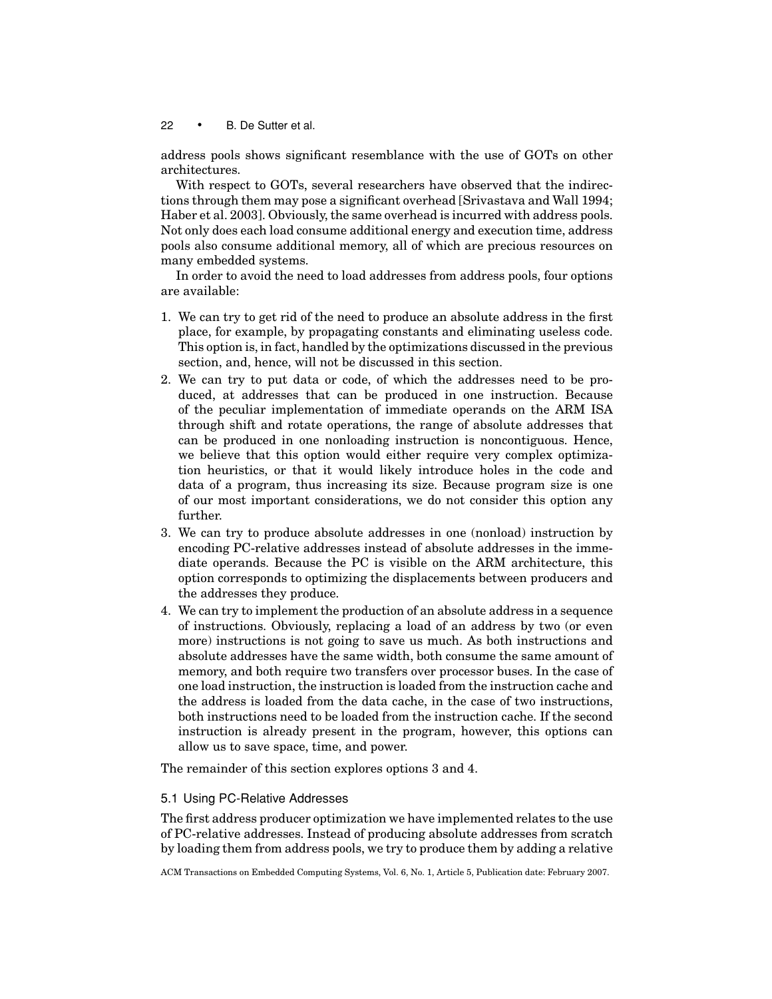address pools shows significant resemblance with the use of GOTs on other architectures.

With respect to GOTs, several researchers have observed that the indirections through them may pose a significant overhead [Srivastava and Wall 1994; Haber et al. 2003]. Obviously, the same overhead is incurred with address pools. Not only does each load consume additional energy and execution time, address pools also consume additional memory, all of which are precious resources on many embedded systems.

In order to avoid the need to load addresses from address pools, four options are available:

- 1. We can try to get rid of the need to produce an absolute address in the first place, for example, by propagating constants and eliminating useless code. This option is, in fact, handled by the optimizations discussed in the previous section, and, hence, will not be discussed in this section.
- 2. We can try to put data or code, of which the addresses need to be produced, at addresses that can be produced in one instruction. Because of the peculiar implementation of immediate operands on the ARM ISA through shift and rotate operations, the range of absolute addresses that can be produced in one nonloading instruction is noncontiguous. Hence, we believe that this option would either require very complex optimization heuristics, or that it would likely introduce holes in the code and data of a program, thus increasing its size. Because program size is one of our most important considerations, we do not consider this option any further.
- 3. We can try to produce absolute addresses in one (nonload) instruction by encoding PC-relative addresses instead of absolute addresses in the immediate operands. Because the PC is visible on the ARM architecture, this option corresponds to optimizing the displacements between producers and the addresses they produce.
- 4. We can try to implement the production of an absolute address in a sequence of instructions. Obviously, replacing a load of an address by two (or even more) instructions is not going to save us much. As both instructions and absolute addresses have the same width, both consume the same amount of memory, and both require two transfers over processor buses. In the case of one load instruction, the instruction is loaded from the instruction cache and the address is loaded from the data cache, in the case of two instructions, both instructions need to be loaded from the instruction cache. If the second instruction is already present in the program, however, this options can allow us to save space, time, and power.

The remainder of this section explores options 3 and 4.

### 5.1 Using PC-Relative Addresses

The first address producer optimization we have implemented relates to the use of PC-relative addresses. Instead of producing absolute addresses from scratch by loading them from address pools, we try to produce them by adding a relative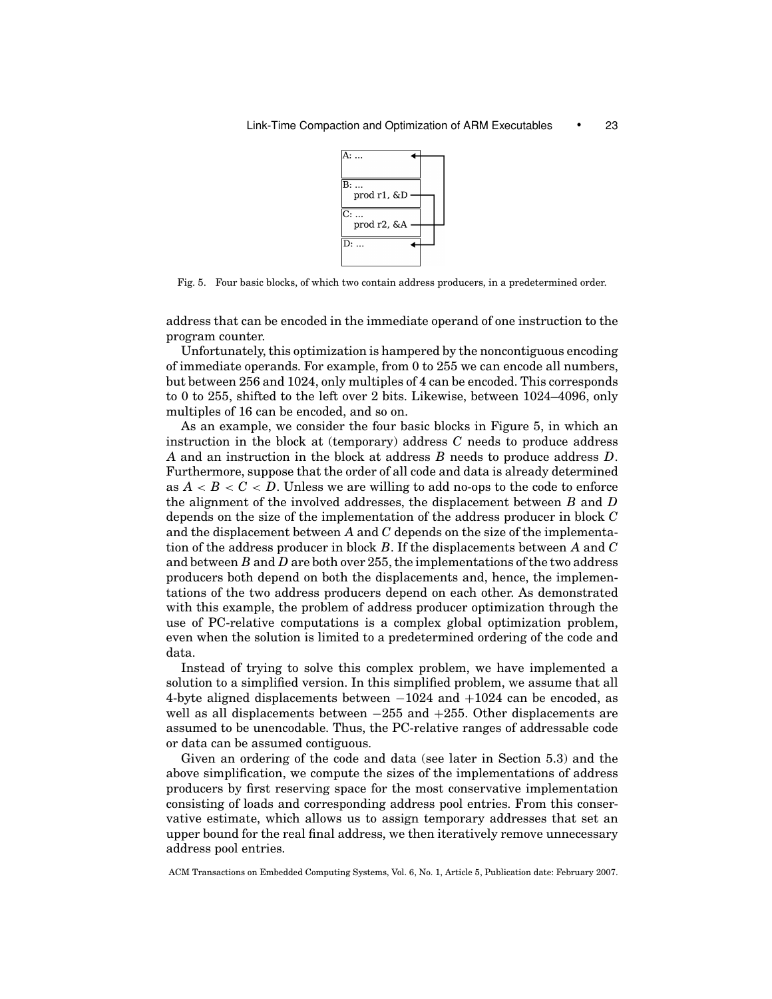

Fig. 5. Four basic blocks, of which two contain address producers, in a predetermined order.

address that can be encoded in the immediate operand of one instruction to the program counter.

Unfortunately, this optimization is hampered by the noncontiguous encoding of immediate operands. For example, from 0 to 255 we can encode all numbers, but between 256 and 1024, only multiples of 4 can be encoded. This corresponds to 0 to 255, shifted to the left over 2 bits. Likewise, between 1024–4096, only multiples of 16 can be encoded, and so on.

As an example, we consider the four basic blocks in Figure 5, in which an instruction in the block at (temporary) address *C* needs to produce address *A* and an instruction in the block at address *B* needs to produce address *D*. Furthermore, suppose that the order of all code and data is already determined as  $A < B < C < D$ . Unless we are willing to add no-ops to the code to enforce the alignment of the involved addresses, the displacement between *B* and *D* depends on the size of the implementation of the address producer in block *C* and the displacement between *A* and *C* depends on the size of the implementation of the address producer in block *B*. If the displacements between *A* and *C* and between *B* and *D* are both over 255, the implementations of the two address producers both depend on both the displacements and, hence, the implementations of the two address producers depend on each other. As demonstrated with this example, the problem of address producer optimization through the use of PC-relative computations is a complex global optimization problem, even when the solution is limited to a predetermined ordering of the code and data.

Instead of trying to solve this complex problem, we have implemented a solution to a simplified version. In this simplified problem, we assume that all 4-byte aligned displacements between  $-1024$  and  $+1024$  can be encoded, as well as all displacements between  $-255$  and  $+255$ . Other displacements are assumed to be unencodable. Thus, the PC-relative ranges of addressable code or data can be assumed contiguous.

Given an ordering of the code and data (see later in Section 5.3) and the above simplification, we compute the sizes of the implementations of address producers by first reserving space for the most conservative implementation consisting of loads and corresponding address pool entries. From this conservative estimate, which allows us to assign temporary addresses that set an upper bound for the real final address, we then iteratively remove unnecessary address pool entries.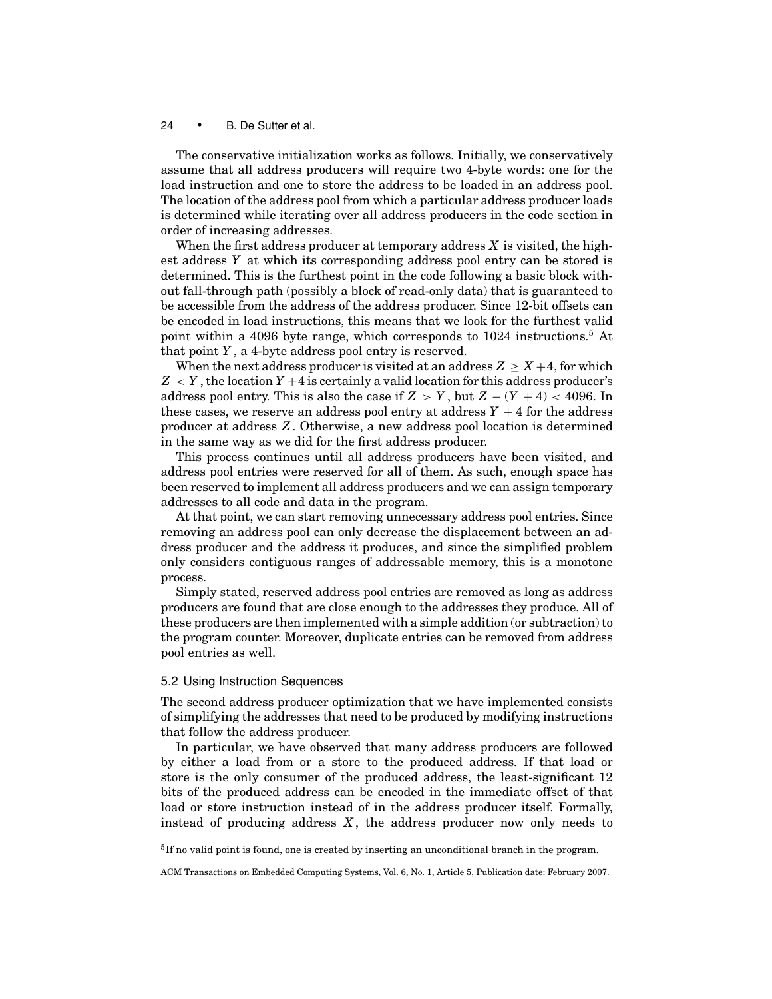The conservative initialization works as follows. Initially, we conservatively assume that all address producers will require two 4-byte words: one for the load instruction and one to store the address to be loaded in an address pool. The location of the address pool from which a particular address producer loads is determined while iterating over all address producers in the code section in order of increasing addresses.

When the first address producer at temporary address *X* is visited, the highest address *Y* at which its corresponding address pool entry can be stored is determined. This is the furthest point in the code following a basic block without fall-through path (possibly a block of read-only data) that is guaranteed to be accessible from the address of the address producer. Since 12-bit offsets can be encoded in load instructions, this means that we look for the furthest valid point within a 4096 byte range, which corresponds to  $1024$  instructions.<sup>5</sup> At that point *Y* , a 4-byte address pool entry is reserved.

When the next address producer is visited at an address  $Z \geq X + 4$ , for which  $Z < Y$ , the location  $Y + 4$  is certainly a valid location for this address producer's address pool entry. This is also the case if  $Z > Y$ , but  $Z - (Y + 4) < 4096$ . In these cases, we reserve an address pool entry at address  $Y + 4$  for the address producer at address *Z*. Otherwise, a new address pool location is determined in the same way as we did for the first address producer.

This process continues until all address producers have been visited, and address pool entries were reserved for all of them. As such, enough space has been reserved to implement all address producers and we can assign temporary addresses to all code and data in the program.

At that point, we can start removing unnecessary address pool entries. Since removing an address pool can only decrease the displacement between an address producer and the address it produces, and since the simplified problem only considers contiguous ranges of addressable memory, this is a monotone process.

Simply stated, reserved address pool entries are removed as long as address producers are found that are close enough to the addresses they produce. All of these producers are then implemented with a simple addition (or subtraction) to the program counter. Moreover, duplicate entries can be removed from address pool entries as well.

### 5.2 Using Instruction Sequences

The second address producer optimization that we have implemented consists of simplifying the addresses that need to be produced by modifying instructions that follow the address producer.

In particular, we have observed that many address producers are followed by either a load from or a store to the produced address. If that load or store is the only consumer of the produced address, the least-significant 12 bits of the produced address can be encoded in the immediate offset of that load or store instruction instead of in the address producer itself. Formally, instead of producing address *X* , the address producer now only needs to

<sup>&</sup>lt;sup>5</sup>If no valid point is found, one is created by inserting an unconditional branch in the program.

ACM Transactions on Embedded Computing Systems, Vol. 6, No. 1, Article 5, Publication date: February 2007.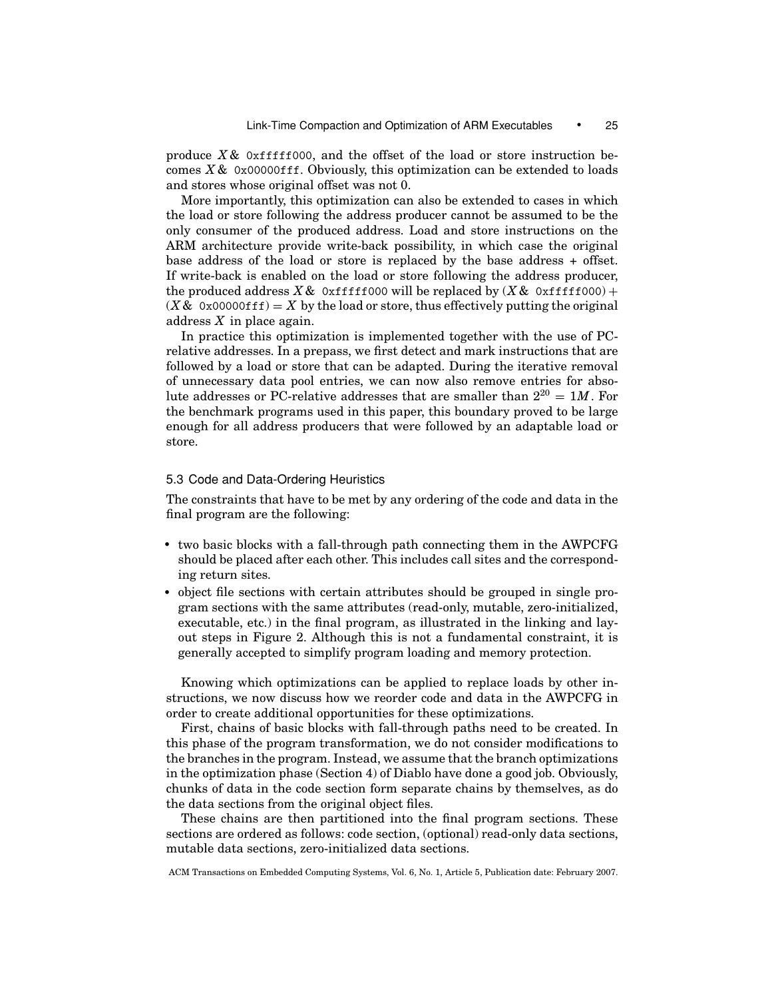produce *X* & 0xfffff000, and the offset of the load or store instruction becomes *X* & 0x00000fff. Obviously, this optimization can be extended to loads and stores whose original offset was not 0.

More importantly, this optimization can also be extended to cases in which the load or store following the address producer cannot be assumed to be the only consumer of the produced address. Load and store instructions on the ARM architecture provide write-back possibility, in which case the original base address of the load or store is replaced by the base address + offset. If write-back is enabled on the load or store following the address producer, the produced address  $X \& 0 \times f$  for  $f$  for  $f$  and  $h$  be replaced by  $(X \& 0 \times f$  for  $f$  for  $f$  000) +  $(X& 0x000000f\textbf{f}) = X$  by the load or store, thus effectively putting the original address *X* in place again.

In practice this optimization is implemented together with the use of PCrelative addresses. In a prepass, we first detect and mark instructions that are followed by a load or store that can be adapted. During the iterative removal of unnecessary data pool entries, we can now also remove entries for absolute addresses or PC-relative addresses that are smaller than  $2^{20} = 1M$ . For the benchmark programs used in this paper, this boundary proved to be large enough for all address producers that were followed by an adaptable load or store.

### 5.3 Code and Data-Ordering Heuristics

The constraints that have to be met by any ordering of the code and data in the final program are the following:

- two basic blocks with a fall-through path connecting them in the AWPCFG should be placed after each other. This includes call sites and the corresponding return sites.
- object file sections with certain attributes should be grouped in single program sections with the same attributes (read-only, mutable, zero-initialized, executable, etc.) in the final program, as illustrated in the linking and layout steps in Figure 2. Although this is not a fundamental constraint, it is generally accepted to simplify program loading and memory protection.

Knowing which optimizations can be applied to replace loads by other instructions, we now discuss how we reorder code and data in the AWPCFG in order to create additional opportunities for these optimizations.

First, chains of basic blocks with fall-through paths need to be created. In this phase of the program transformation, we do not consider modifications to the branches in the program. Instead, we assume that the branch optimizations in the optimization phase (Section 4) of Diablo have done a good job. Obviously, chunks of data in the code section form separate chains by themselves, as do the data sections from the original object files.

These chains are then partitioned into the final program sections. These sections are ordered as follows: code section, (optional) read-only data sections, mutable data sections, zero-initialized data sections.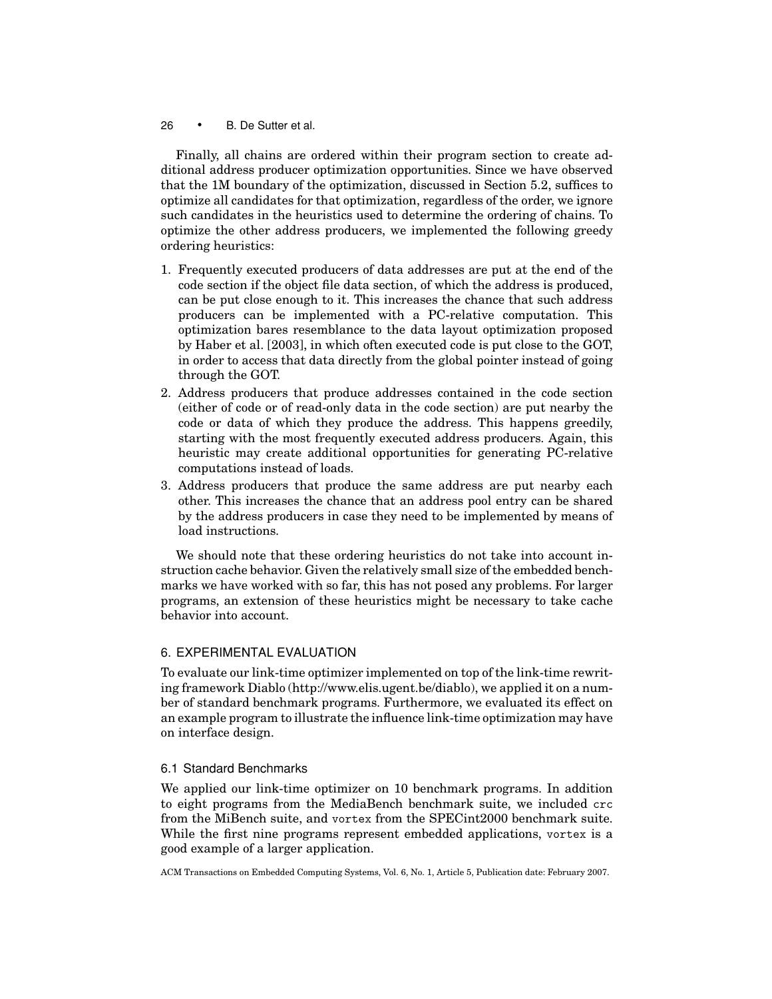Finally, all chains are ordered within their program section to create additional address producer optimization opportunities. Since we have observed that the 1M boundary of the optimization, discussed in Section 5.2, suffices to optimize all candidates for that optimization, regardless of the order, we ignore such candidates in the heuristics used to determine the ordering of chains. To optimize the other address producers, we implemented the following greedy ordering heuristics:

- 1. Frequently executed producers of data addresses are put at the end of the code section if the object file data section, of which the address is produced, can be put close enough to it. This increases the chance that such address producers can be implemented with a PC-relative computation. This optimization bares resemblance to the data layout optimization proposed by Haber et al. [2003], in which often executed code is put close to the GOT, in order to access that data directly from the global pointer instead of going through the GOT.
- 2. Address producers that produce addresses contained in the code section (either of code or of read-only data in the code section) are put nearby the code or data of which they produce the address. This happens greedily, starting with the most frequently executed address producers. Again, this heuristic may create additional opportunities for generating PC-relative computations instead of loads.
- 3. Address producers that produce the same address are put nearby each other. This increases the chance that an address pool entry can be shared by the address producers in case they need to be implemented by means of load instructions.

We should note that these ordering heuristics do not take into account instruction cache behavior. Given the relatively small size of the embedded benchmarks we have worked with so far, this has not posed any problems. For larger programs, an extension of these heuristics might be necessary to take cache behavior into account.

## 6. EXPERIMENTAL EVALUATION

To evaluate our link-time optimizer implemented on top of the link-time rewriting framework Diablo (http://www.elis.ugent.be/diablo), we applied it on a number of standard benchmark programs. Furthermore, we evaluated its effect on an example program to illustrate the influence link-time optimization may have on interface design.

## 6.1 Standard Benchmarks

We applied our link-time optimizer on 10 benchmark programs. In addition to eight programs from the MediaBench benchmark suite, we included crc from the MiBench suite, and vortex from the SPECint2000 benchmark suite. While the first nine programs represent embedded applications, vortex is a good example of a larger application.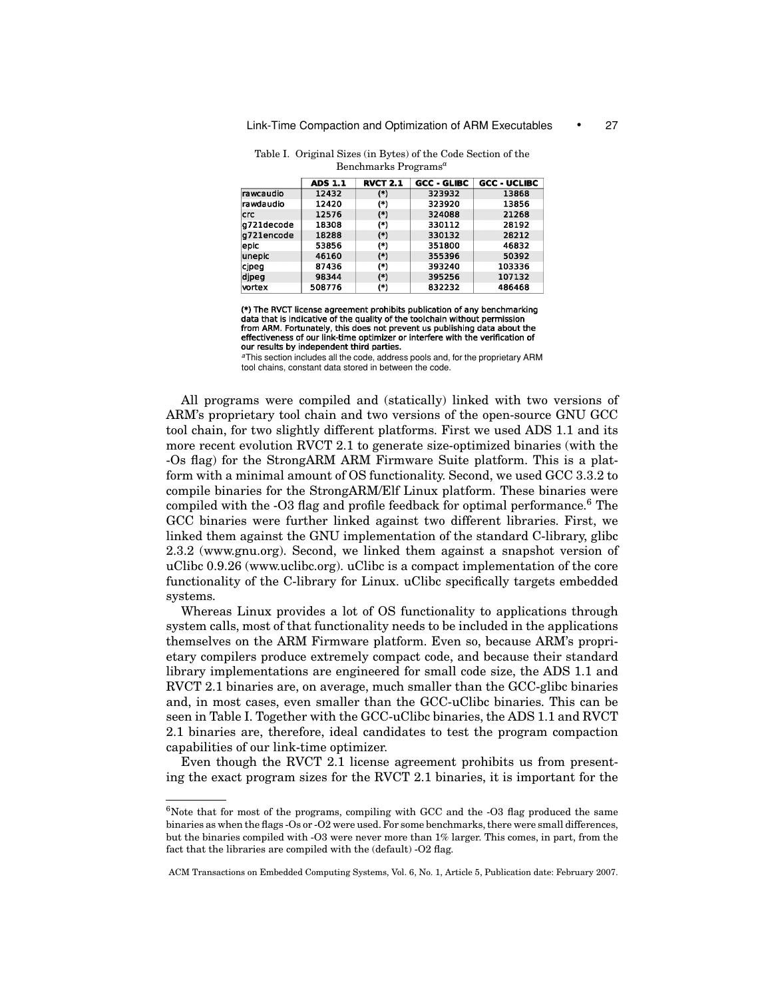|            | <b>ADS 1.1</b> | <b>RVCT 2.1</b> | <b>GCC - GLIBC</b> | <b>GCC - UCLIBC</b> |
|------------|----------------|-----------------|--------------------|---------------------|
| rawcaudio  | 12432          | (*)             | 323932             | 13868               |
| rawdaudio  | 12420          | (*)             | 323920             | 13856               |
| <b>crc</b> | 12576          | $(*)$           | 324088             | 21268               |
| q721decode | 18308          | (*)             | 330112             | 28192               |
| g721encode | 18288          | $(*)$           | 330132             | 28212               |
| epic       | 53856          | (*)             | 351800             | 46832               |
| unepic     | 46160          | $(*)$           | 355396             | 50392               |
| cipeg      | 87436          | (*)             | 393240             | 103336              |
| djpeg      | 98344          | $(*)$           | 395256             | 107132              |
| vortex     | 508776         | (*)             | 832232             | 486468              |

Table I. Original Sizes (in Bytes) of the Code Section of the Benchmarks Programs*<sup>a</sup>*

(\*) The RVCT license agreement prohibits publication of any benchmarking data that is indicative of the quality of the toolchain without permission from ARM. Fortunately, this does not prevent us publishing data about the effectiveness of our link-time optimizer or interfere with the verification of our results by independent third parties.

*<sup>a</sup>*This section includes all the code, address pools and, for the proprietary ARM tool chains, constant data stored in between the code.

All programs were compiled and (statically) linked with two versions of ARM's proprietary tool chain and two versions of the open-source GNU GCC tool chain, for two slightly different platforms. First we used ADS 1.1 and its more recent evolution RVCT 2.1 to generate size-optimized binaries (with the -Os flag) for the StrongARM ARM Firmware Suite platform. This is a platform with a minimal amount of OS functionality. Second, we used GCC 3.3.2 to compile binaries for the StrongARM/Elf Linux platform. These binaries were compiled with the -O3 flag and profile feedback for optimal performance.<sup>6</sup> The GCC binaries were further linked against two different libraries. First, we linked them against the GNU implementation of the standard C-library, glibc 2.3.2 (www.gnu.org). Second, we linked them against a snapshot version of uClibc 0.9.26 (www.uclibc.org). uClibc is a compact implementation of the core functionality of the C-library for Linux. uClibc specifically targets embedded systems.

Whereas Linux provides a lot of OS functionality to applications through system calls, most of that functionality needs to be included in the applications themselves on the ARM Firmware platform. Even so, because ARM's proprietary compilers produce extremely compact code, and because their standard library implementations are engineered for small code size, the ADS 1.1 and RVCT 2.1 binaries are, on average, much smaller than the GCC-glibc binaries and, in most cases, even smaller than the GCC-uClibc binaries. This can be seen in Table I. Together with the GCC-uClibc binaries, the ADS 1.1 and RVCT 2.1 binaries are, therefore, ideal candidates to test the program compaction capabilities of our link-time optimizer.

Even though the RVCT 2.1 license agreement prohibits us from presenting the exact program sizes for the RVCT 2.1 binaries, it is important for the

 $6$ Note that for most of the programs, compiling with GCC and the  $-O3$  flag produced the same binaries as when the flags -Os or -O2 were used. For some benchmarks, there were small differences, but the binaries compiled with -O3 were never more than 1% larger. This comes, in part, from the fact that the libraries are compiled with the (default) -O2 flag.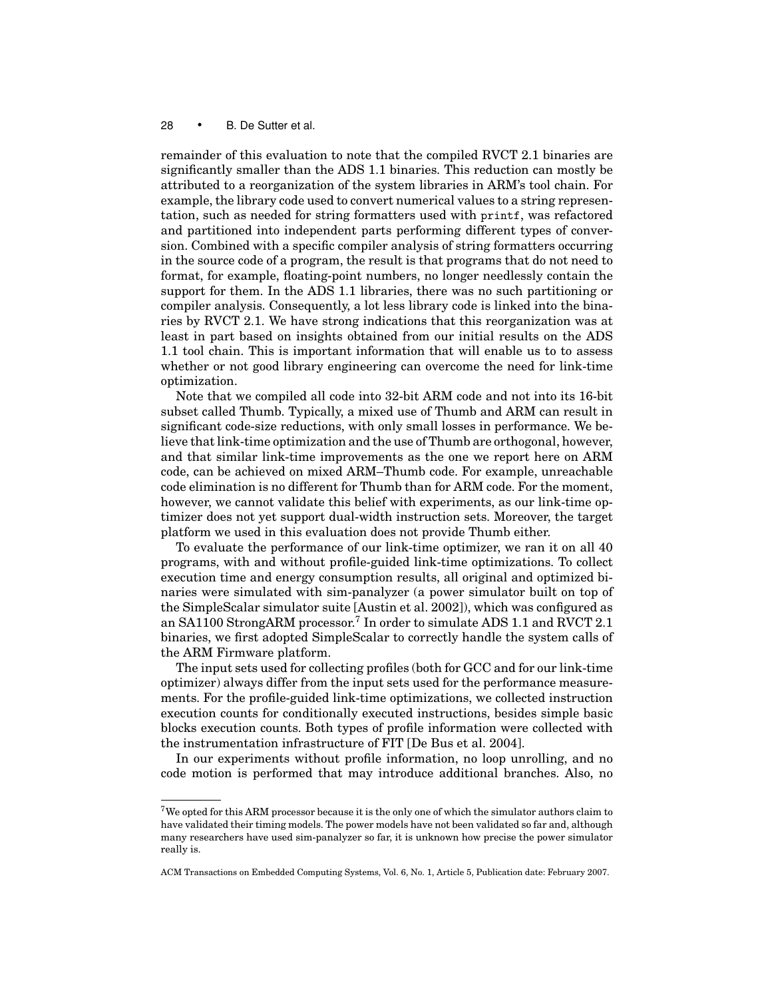remainder of this evaluation to note that the compiled RVCT 2.1 binaries are significantly smaller than the ADS 1.1 binaries. This reduction can mostly be attributed to a reorganization of the system libraries in ARM's tool chain. For example, the library code used to convert numerical values to a string representation, such as needed for string formatters used with printf, was refactored and partitioned into independent parts performing different types of conversion. Combined with a specific compiler analysis of string formatters occurring in the source code of a program, the result is that programs that do not need to format, for example, floating-point numbers, no longer needlessly contain the support for them. In the ADS 1.1 libraries, there was no such partitioning or compiler analysis. Consequently, a lot less library code is linked into the binaries by RVCT 2.1. We have strong indications that this reorganization was at least in part based on insights obtained from our initial results on the ADS 1.1 tool chain. This is important information that will enable us to to assess whether or not good library engineering can overcome the need for link-time optimization.

Note that we compiled all code into 32-bit ARM code and not into its 16-bit subset called Thumb. Typically, a mixed use of Thumb and ARM can result in significant code-size reductions, with only small losses in performance. We believe that link-time optimization and the use of Thumb are orthogonal, however, and that similar link-time improvements as the one we report here on ARM code, can be achieved on mixed ARM–Thumb code. For example, unreachable code elimination is no different for Thumb than for ARM code. For the moment, however, we cannot validate this belief with experiments, as our link-time optimizer does not yet support dual-width instruction sets. Moreover, the target platform we used in this evaluation does not provide Thumb either.

To evaluate the performance of our link-time optimizer, we ran it on all 40 programs, with and without profile-guided link-time optimizations. To collect execution time and energy consumption results, all original and optimized binaries were simulated with sim-panalyzer (a power simulator built on top of the SimpleScalar simulator suite [Austin et al. 2002]), which was configured as an SA1100 StrongARM processor.<sup>7</sup> In order to simulate ADS 1.1 and RVCT 2.1 binaries, we first adopted SimpleScalar to correctly handle the system calls of the ARM Firmware platform.

The input sets used for collecting profiles (both for GCC and for our link-time optimizer) always differ from the input sets used for the performance measurements. For the profile-guided link-time optimizations, we collected instruction execution counts for conditionally executed instructions, besides simple basic blocks execution counts. Both types of profile information were collected with the instrumentation infrastructure of FIT [De Bus et al. 2004].

In our experiments without profile information, no loop unrolling, and no code motion is performed that may introduce additional branches. Also, no

 $7$ We opted for this ARM processor because it is the only one of which the simulator authors claim to have validated their timing models. The power models have not been validated so far and, although many researchers have used sim-panalyzer so far, it is unknown how precise the power simulator really is.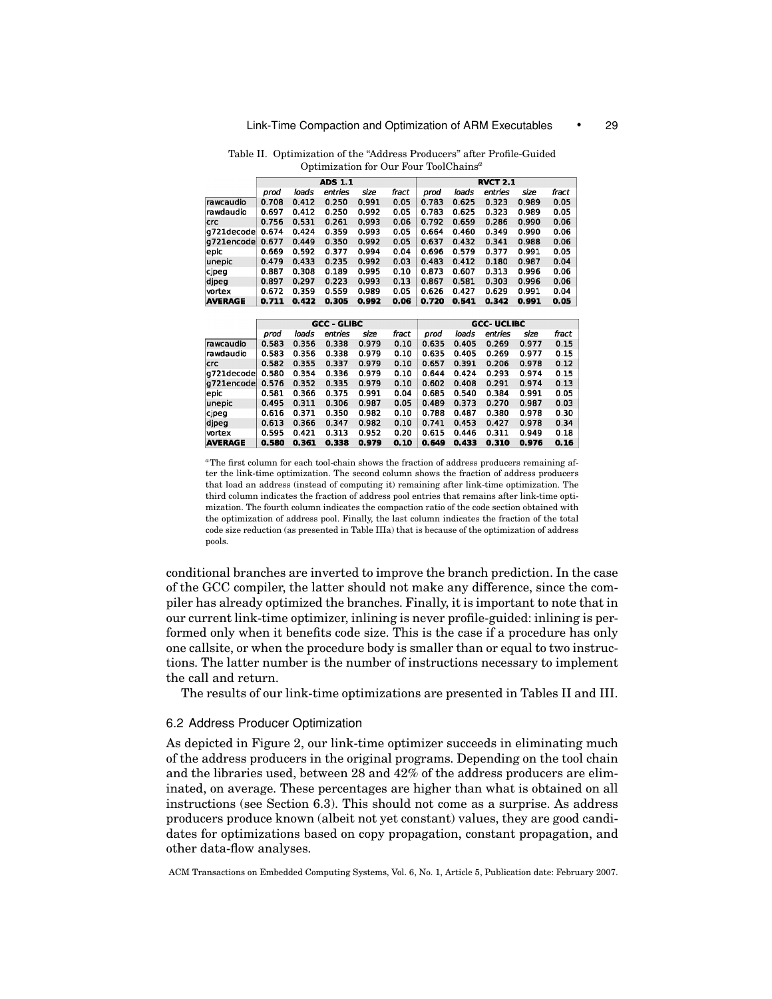|                | <b>ADS 1.1</b> |       |         |       |       | <b>RVCT 2.1</b> |       |         |       |       |  |
|----------------|----------------|-------|---------|-------|-------|-----------------|-------|---------|-------|-------|--|
|                | prod           | loads | entries | size  | fract | prod            | loads | entries | size  | fract |  |
| rawcaudio      | 0.708          | 0.412 | 0.250   | 0.991 | 0.05  | 0.783           | 0.625 | 0.323   | 0.989 | 0.05  |  |
| Irawdaudio     | 0.697          | 0.412 | 0.250   | 0.992 | 0.05  | 0.783           | 0.625 | 0.323   | 0.989 | 0.05  |  |
| <b>Crc</b>     | 0.756          | 0.531 | 0.261   | 0.993 | 0.06  | 0.792           | 0.659 | 0.286   | 0.990 | 0.06  |  |
| $q721$ decode  | 0.674          | 0.424 | 0.359   | 0.993 | 0.05  | 0.664           | 0.460 | 0349    | 0.990 | 0.06  |  |
| g721encode     | 0.677          | 0.449 | 0.350   | 0.992 | 0.05  | 0.637           | 0.432 | 0.341   | 0.988 | 0.06  |  |
| epic           | 0.669          | 0.592 | 0.377   | 0.994 | 0.04  | 0.696           | 0.579 | 0.377   | 0.991 | 0.05  |  |
| unepic         | 0.479          | 0.433 | 0.235   | 0.992 | 0.03  | 0.483           | 0.412 | 0.180   | 0.987 | 0.04  |  |
| cipeg          | 0.887          | 0.308 | 0.189   | 0.995 | 0.10  | 0.873           | 0.607 | 0313    | 0.996 | 0.06  |  |
| djpeg          | 0.897          | 0.297 | 0.223   | 0.993 | 0.13  | 0.867           | 0.581 | 0.303   | 0.996 | 0.06  |  |
| vortex         | 0.672          | 0.359 | 0.559   | 0.989 | 0.05  | 0.626           | 0.427 | 0.629   | 0.991 | 0.04  |  |
| <b>AVERAGE</b> | 0.711          | 0.422 | 0.305   | 0.992 | 0.06  | 0.720           | 0.541 | 0.342   | 0.991 | 0.05  |  |

Table II. Optimization of the "Address Producers" after Profile-Guided Optimization for Our Four ToolChains*<sup>a</sup>*

|                |       |       | <b>GCC - GLIBC</b> |       |       |       |       | <b>GCC-UCLIBC</b> |       |       |
|----------------|-------|-------|--------------------|-------|-------|-------|-------|-------------------|-------|-------|
|                | prod  | loads | entries            | size  | fract | prod  | loads | entries           | size  | fract |
| rawcaudio      | 0.583 | 0.356 | 0.338              | 0.979 | 0.10  | 0.635 | 0.405 | 0.269             | 0.977 | 0.15  |
| rawdaudio      | 0.583 | 0.356 | 0.338              | 0.979 | 0.10  | 0.635 | 0.405 | 0.269             | 0.977 | 0.15  |
| <b>crc</b>     | 0.582 | 0.355 | 0.337              | 0.979 | 0.10  | 0.657 | 0.391 | 0.206             | 0.978 | 0.12  |
| g721decode     | 0.580 | 0.354 | 0.336              | 0.979 | 0.10  | 0.644 | 0.424 | 0.293             | 0.974 | 0.15  |
| q721encode     | 0.576 | 0.352 | 0.335              | 0.979 | 0.10  | 0.602 | 0.408 | 0.291             | 0.974 | 0.13  |
| epic           | 0.581 | 0.366 | 0.375              | 0.991 | 0.04  | 0.685 | 0.540 | 0.384             | 0.991 | 0.05  |
| unepic         | 0.495 | 0.311 | 0.306              | 0.987 | 0.05  | 0.489 | 0.373 | 0.270             | 0.987 | 0.03  |
| cipeg          | 0.616 | 0.371 | 0.350              | 0.982 | 0.10  | 0.788 | 0.487 | 0.380             | 0.978 | 0.30  |
| djpeg          | 0.613 | 0.366 | 0.347              | 0.982 | 0.10  | 0.741 | 0.453 | 0.427             | 0.978 | 0.34  |
| vortex         | 0.595 | 0.421 | 0.313              | 0.952 | 0.20  | 0.615 | 0.446 | 0.311             | 0.949 | 0.18  |
| <b>AVERACE</b> | 0.580 | 0.361 | 0.338              | 0.979 | 0.10  | 0.649 | 0.433 | 0.310             | 0.976 | 0.16  |

*<sup>a</sup>*The first column for each tool-chain shows the fraction of address producers remaining after the link-time optimization. The second column shows the fraction of address producers that load an address (instead of computing it) remaining after link-time optimization. The third column indicates the fraction of address pool entries that remains after link-time optimization. The fourth column indicates the compaction ratio of the code section obtained with the optimization of address pool. Finally, the last column indicates the fraction of the total code size reduction (as presented in Table IIIa) that is because of the optimization of address pools.

conditional branches are inverted to improve the branch prediction. In the case of the GCC compiler, the latter should not make any difference, since the compiler has already optimized the branches. Finally, it is important to note that in our current link-time optimizer, inlining is never profile-guided: inlining is performed only when it benefits code size. This is the case if a procedure has only one callsite, or when the procedure body is smaller than or equal to two instructions. The latter number is the number of instructions necessary to implement the call and return.

The results of our link-time optimizations are presented in Tables II and III.

### 6.2 Address Producer Optimization

As depicted in Figure 2, our link-time optimizer succeeds in eliminating much of the address producers in the original programs. Depending on the tool chain and the libraries used, between 28 and 42% of the address producers are eliminated, on average. These percentages are higher than what is obtained on all instructions (see Section 6.3). This should not come as a surprise. As address producers produce known (albeit not yet constant) values, they are good candidates for optimizations based on copy propagation, constant propagation, and other data-flow analyses.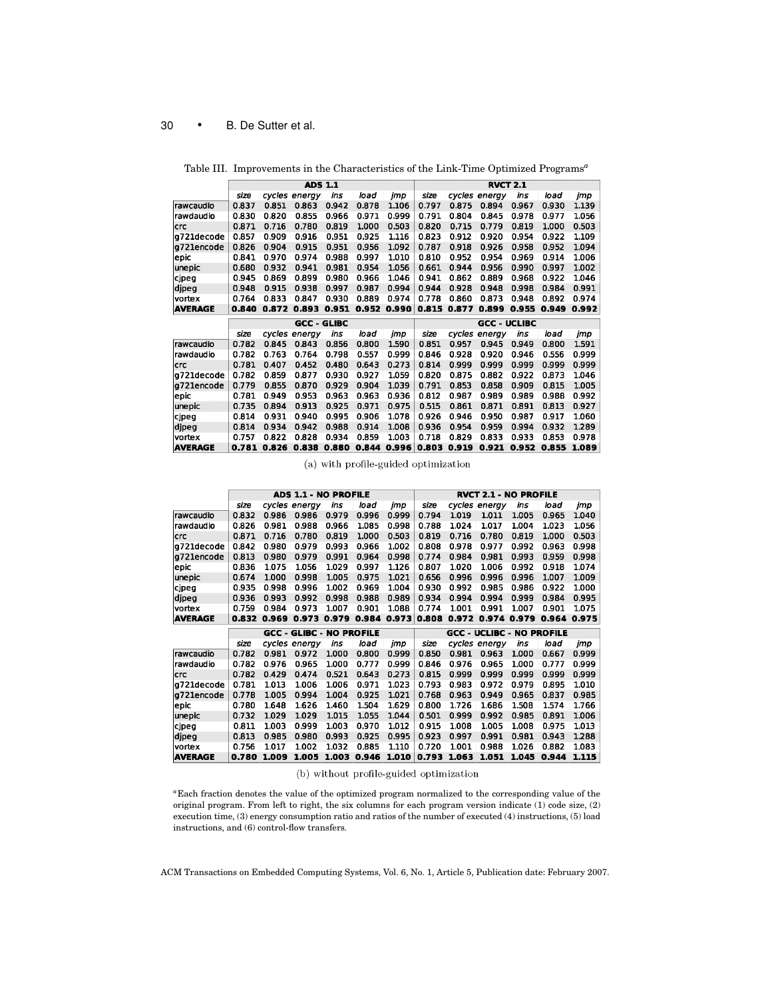|                  | ADS 1.1 |       |                    |       |       | RVCT 2.1 |       |       |                     |       |       |       |
|------------------|---------|-------|--------------------|-------|-------|----------|-------|-------|---------------------|-------|-------|-------|
|                  | size    |       | cycles energy      | ins   | load  | jmp      | size  |       | cycles energy       | ins   | load  | jmp   |
| <b>rawcaudio</b> | 0.837   | 0.851 | 0.863              | 0.942 | 0.878 | 1.106    | 0.797 | 0.875 | 0.894               | 0.967 | 0.930 | 1.139 |
| Irawdaudio       | 0.830   | 0.820 | 0.855              | 0.966 | 0.971 | 0.999    | 0.791 | 0.804 | 0.845               | 0.978 | 0.977 | 1.056 |
| lcrc             | 0.871   | 0.716 | 0.780              | 0.819 | 1.000 | 0.503    | 0.820 | 0.715 | 0.779               | 0.819 | 1.000 | 0.503 |
| g721decode       | 0.857   | 0.909 | 0.916              | 0.951 | 0.925 | 1.116    | 0.823 | 0.912 | 0.920               | 0.954 | 0.922 | 1.109 |
| g721encode       | 0.826   | 0.904 | 0.915              | 0.951 | 0.956 | 1.092    | 0.787 | 0.918 | 0.926               | 0.958 | 0.952 | 1.094 |
| epic             | 0.841   | 0.970 | 0.974              | 0.988 | 0.997 | 1.010    | 0.810 | 0.952 | 0.954               | 0.969 | 0.914 | 1.006 |
| unepic           | 0.680   | 0.932 | 0.941              | 0.981 | 0.954 | 1.056    | 0.661 | 0944  | 0.956               | 0.990 | 0.997 | 1.002 |
| lcjpeg           | 0.945   | 0.869 | 0.899              | 0.980 | 0.966 | 1.046    | 0.941 | 0.862 | 0.889               | 0.968 | 0.922 | 1.046 |
| djpeg            | 0.948   | 0.915 | 0.938              | 0.997 | 0.987 | 0.994    | 0.944 | 0.928 | 0.948               | 0.998 | 0.984 | 0.991 |
| <b>vortex</b>    | 0.764   | 0.833 | 0.847              | 0.930 | 0.889 | 0.974    | 0.778 | 0.860 | 0.873               | 0.948 | 0.892 | 0.974 |
| <b>AVERAGE</b>   | 0.840   | 0.872 | 0.893              | 0.951 | 0.952 | 0.990    | 0.815 | 0.877 | 0.899               | 0.955 | 0.949 | 0.992 |
|                  |         |       |                    |       |       |          |       |       |                     |       |       |       |
|                  |         |       | <b>GCC - GLIBC</b> |       |       |          |       |       | <b>GCC - UCLIBC</b> |       |       |       |
|                  | size    |       | cycles energy      | ins   | load  | jmp      | size  |       | cycles energy       | ins   | load  | jmp   |
| rawcaudio        | 0.782   | 0.845 | 0.843              | 0.856 | 0.800 | 1.590    | 0.851 | 0.957 | 0.945               | 0.949 | 0.800 | 1.591 |
| Irawdaudio       | 0782    | 0.763 | 0.764              | 0.798 | 0.557 | 0.999    | 0.846 | 0.928 | 0.920               | 0.946 | 0.556 | 0.999 |
| Icrc             | 0.781   | 0.407 | 0.452              | 0.480 | 0.643 | 0.273    | 0.814 | 0.999 | 0.999               | 0.999 | 0.999 | 0.999 |
| la721decode      | 0.782   | 0.859 | 0.877              | 0.930 | 0.927 | 1.059    | 0.820 | 0.875 | 0.882               | 0.922 | 0.873 | 1.046 |
| g721encode       | 0779    | 0.855 | 0.870              | 0.929 | 0.904 | 1.039    | 0.791 | 0.853 | 0.858               | 0.909 | 0.815 | 1.005 |
| epic             | 0.781   | 0.949 | 0.953              | 0.963 | 0.963 | 0.936    | 0.812 | 0987  | 0.989               | 0.989 | 0.988 | 0.992 |
| unepic           | 0.735   | 0.894 | 0.913              | 0.925 | 0.971 | 0.975    | 0.515 | 0.861 | 0.871               | 0.891 | 0.813 | 0.927 |
| lcjpeg           | 0.814   | 0.931 | 0.940              | 0.995 | 0.906 | 1.078    | 0.926 | 0.946 | 0.950               | 0.987 | 0.917 | 1.060 |
| djpeg            | 0.814   | 0.934 | 0.942              | 0.988 | 0.914 | 1.008    | 0.936 | 0.954 | 0.959               | 0.994 | 0.932 | 1.289 |
| vortex           | 0.757   | 0.822 | 0.828              | 0.934 | 0.859 | 1.003    | 0.718 | 0829  | 0.833               | 0.933 | 0.853 | 0.978 |

Table III. Improvements in the Characteristics of the Link-Time Optimized Programs*<sup>a</sup>*

 $({\bf a})$  with profile-guided optimization

|                  | <b>ADS 1.1 - NO PROFILE</b> |       |                                 |       |       |       | <b>RVCT 2.1 - NO PROFILE</b> |       |                                  |       |       |       |
|------------------|-----------------------------|-------|---------------------------------|-------|-------|-------|------------------------------|-------|----------------------------------|-------|-------|-------|
|                  | size                        |       | cycles energy                   | ins   | load  | jmp   | size                         |       | cycles energy                    | ins   | load  | jmp   |
| <b>rawcaudio</b> | 0.832                       | 0.986 | 0.986                           | 0.979 | 0.996 | 0.999 | 0.794                        | 1.019 | 1.011                            | 1.005 | 0.965 | 1.040 |
| Irawdaudio       | 0826                        | 0981  | 0.988                           | 0.966 | 1.085 | 0.998 | 0.788                        | 1.024 | 1.017                            | 1.004 | 1.023 | 1.056 |
| <b>crc</b>       | 0.871                       | 0716  | 0.780                           | 0.819 | 1.000 | 0.503 | 0.819                        | 0.716 | 0.780                            | 0.819 | 1.000 | 0.503 |
| la721decode      | 0.842                       | 0.980 | 0.979                           | 0.993 | 0.966 | 1.002 | 0.808                        | 0.978 | 0.977                            | 0.992 | 0.963 | 0.998 |
| g721encode       | 0.813                       | 0.980 | 0.979                           | 0.991 | 0.964 | 0.998 | 0.774                        | 0.984 | 0.981                            | 0.993 | 0.959 | 0.998 |
| epic             | 0.836                       | 1.075 | 1.056                           | 1.029 | 0.997 | 1.126 | 0.807                        | 1.020 | 1.006                            | 0.992 | 0.918 | 1.074 |
| unepic           | 0.674                       | 1.000 | 0.998                           | 1.005 | 0.975 | 1.021 | 0.656                        | 0.996 | 0.996                            | 0.996 | 1.007 | 1.009 |
| cjpeg            | 0.935                       | 0.998 | 0.996                           | 1.002 | 0.969 | 1.004 | 0.930                        | 0.992 | 0.985                            | 0.986 | 0.922 | 1.000 |
| ldipeg           | 0.936                       | 0.993 | 0.992                           | 0.998 | 0.988 | 0.989 | 0.934                        | 0.994 | 0.994                            | 0.999 | 0.984 | 0.995 |
| lvortex          | 0.759                       | 0.984 | 0.973                           | 1.007 | 0.901 | 1.088 | 0.774                        | 1.001 | 0.991                            | 1.007 | 0.901 | 1.075 |
| <b>AVERAGE</b>   | 0.832                       | 0.969 | 0.973                           | 0.979 | 0.984 | 0.973 | 0.808                        | 0.972 | 0.974                            | 0.979 | 0.964 | 0.975 |
|                  |                             |       |                                 |       |       |       |                              |       |                                  |       |       |       |
|                  |                             |       | <b>GCC - GLIBC - NO PROFILE</b> |       |       |       |                              |       | <b>GCC - UCLIBC - NO PROFILE</b> |       |       |       |
|                  | size                        |       | cycles energy                   | ins   | load  | imp   | size                         |       | cycles energy                    | ins   | load  | jmp   |
| rawcaudio        | 0782                        | 0981  | 0.972                           | 1.000 | 0.800 | 0.999 | 0.850                        | 0.981 | 0.963                            | 1.000 | 0.667 | 0.999 |
| Irawdaudio       | 0.782                       | 0.976 | 0.965                           | 1.000 | 0.777 | 0.999 | 0.846                        | 0.976 | 0.965                            | 1.000 | 0.777 | 0.999 |
| <b>crc</b>       | 0.782                       | 0.429 | 0.474                           | 0.521 | 0.643 | 0.273 | 0.815                        | 0.999 | 0.999                            | 0.999 | 0.999 | 0.999 |
| la721decode      | 0.781                       | 1.013 | 1.006                           | 1.006 | 0.971 | 1.023 | 0.793                        | 0.983 | 0.972                            | 0.979 | 0.895 | 1.010 |
| g721encode       | 0.778                       | 1.005 | 0.994                           | 1.004 | 0.925 | 1.021 | 0.768                        | 0.963 | 0.949                            | 0.965 | 0.837 | 0.985 |
| epic             | 0.780                       | 1.648 | 1626                            | 1.460 | 1.504 | 1.629 | 0.800                        | 1.726 | 1.686                            | 1.508 | 1.574 | 1.766 |
| unepic           | 0.732                       | 1.029 | 1.029                           | 1.015 | 1.055 | 1.044 | 0.501                        | 0.999 | 0.992                            | 0.985 | 0.891 | 1.006 |
| cjpeg            | 0.811                       | 1.003 | 0.999                           | 1.003 | 0.970 | 1.012 | 0.915                        | 1.008 | 1.005                            | 1.008 | 0.975 | 1.013 |
| djpeg            | 0.813                       | 0.985 | 0.980                           | 0.993 | 0.925 | 0.995 | 0.923                        | 0.997 | 0.991                            | 0.981 | 0.943 | 1.288 |
| <b>vortex</b>    | 0.756                       | 1.017 | 1.002                           | 1.032 | 0.885 | 1.110 | 0.720                        | 1.001 | 0.988                            | 1.026 | 0.882 | 1.083 |

 $\left(\mathrm{b}\right)$  without profile-guided optimization

*<sup>a</sup>*Each fraction denotes the value of the optimized program normalized to the corresponding value of the original program. From left to right, the six columns for each program version indicate (1) code size, (2) execution time, (3) energy consumption ratio and ratios of the number of executed (4) instructions, (5) load instructions, and (6) control-flow transfers.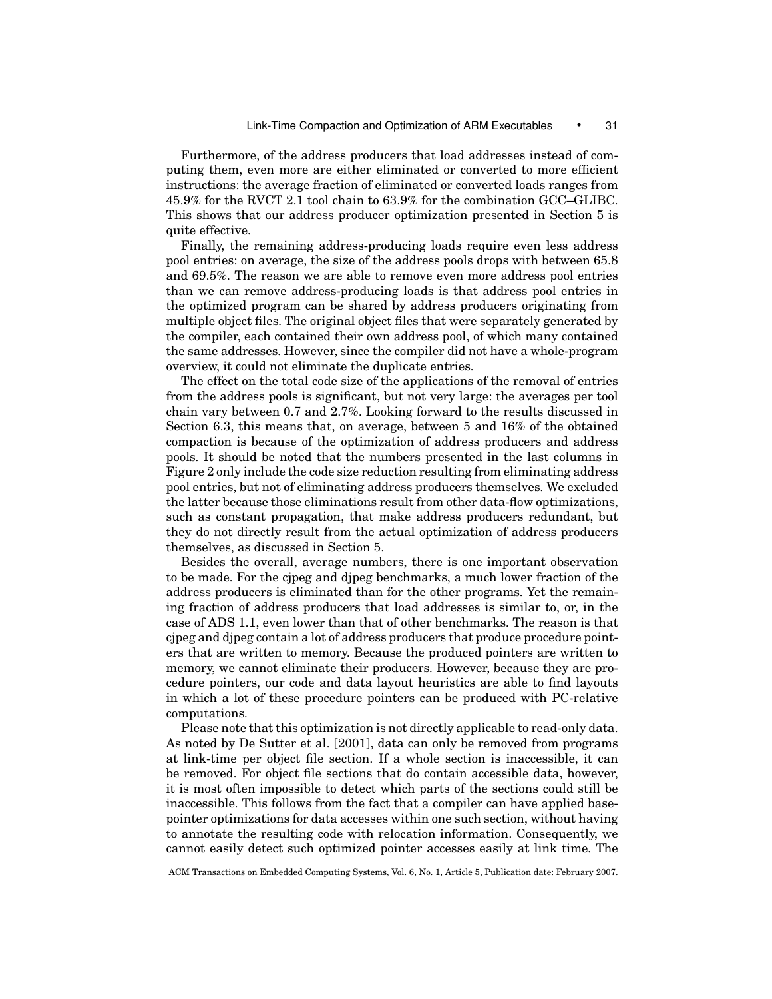Furthermore, of the address producers that load addresses instead of computing them, even more are either eliminated or converted to more efficient instructions: the average fraction of eliminated or converted loads ranges from 45.9% for the RVCT 2.1 tool chain to 63.9% for the combination GCC–GLIBC. This shows that our address producer optimization presented in Section 5 is quite effective.

Finally, the remaining address-producing loads require even less address pool entries: on average, the size of the address pools drops with between 65.8 and 69.5%. The reason we are able to remove even more address pool entries than we can remove address-producing loads is that address pool entries in the optimized program can be shared by address producers originating from multiple object files. The original object files that were separately generated by the compiler, each contained their own address pool, of which many contained the same addresses. However, since the compiler did not have a whole-program overview, it could not eliminate the duplicate entries.

The effect on the total code size of the applications of the removal of entries from the address pools is significant, but not very large: the averages per tool chain vary between 0.7 and 2.7%. Looking forward to the results discussed in Section 6.3, this means that, on average, between 5 and 16% of the obtained compaction is because of the optimization of address producers and address pools. It should be noted that the numbers presented in the last columns in Figure 2 only include the code size reduction resulting from eliminating address pool entries, but not of eliminating address producers themselves. We excluded the latter because those eliminations result from other data-flow optimizations, such as constant propagation, that make address producers redundant, but they do not directly result from the actual optimization of address producers themselves, as discussed in Section 5.

Besides the overall, average numbers, there is one important observation to be made. For the cjpeg and djpeg benchmarks, a much lower fraction of the address producers is eliminated than for the other programs. Yet the remaining fraction of address producers that load addresses is similar to, or, in the case of ADS 1.1, even lower than that of other benchmarks. The reason is that cjpeg and djpeg contain a lot of address producers that produce procedure pointers that are written to memory. Because the produced pointers are written to memory, we cannot eliminate their producers. However, because they are procedure pointers, our code and data layout heuristics are able to find layouts in which a lot of these procedure pointers can be produced with PC-relative computations.

Please note that this optimization is not directly applicable to read-only data. As noted by De Sutter et al. [2001], data can only be removed from programs at link-time per object file section. If a whole section is inaccessible, it can be removed. For object file sections that do contain accessible data, however, it is most often impossible to detect which parts of the sections could still be inaccessible. This follows from the fact that a compiler can have applied basepointer optimizations for data accesses within one such section, without having to annotate the resulting code with relocation information. Consequently, we cannot easily detect such optimized pointer accesses easily at link time. The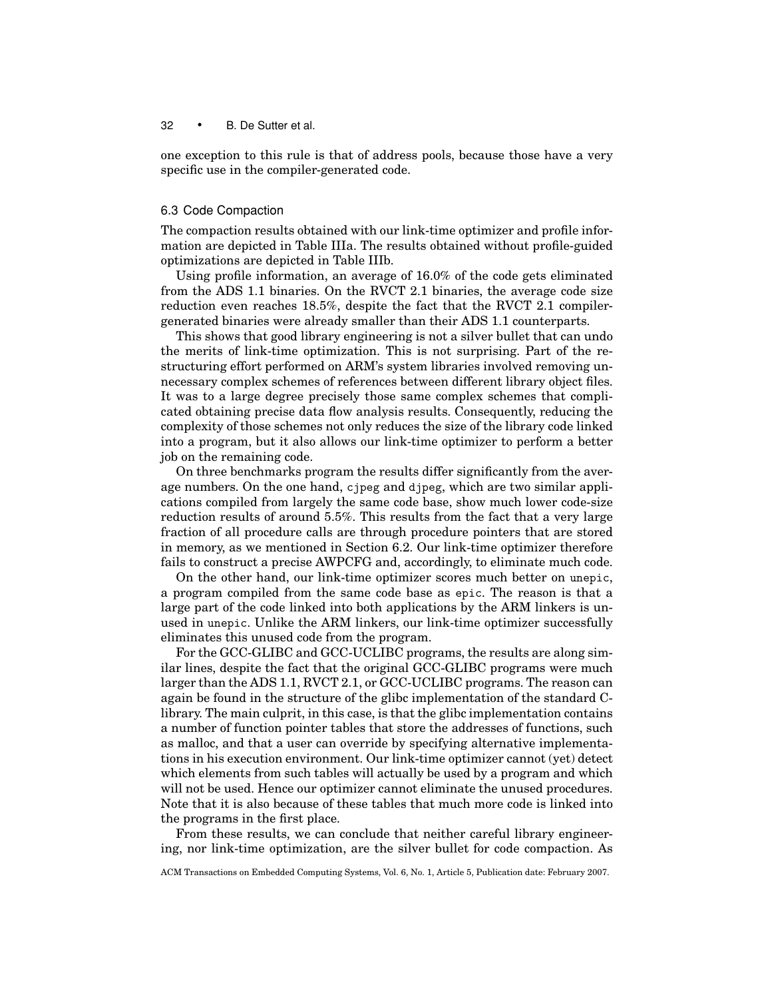one exception to this rule is that of address pools, because those have a very specific use in the compiler-generated code.

### 6.3 Code Compaction

The compaction results obtained with our link-time optimizer and profile information are depicted in Table IIIa. The results obtained without profile-guided optimizations are depicted in Table IIIb.

Using profile information, an average of 16.0% of the code gets eliminated from the ADS 1.1 binaries. On the RVCT 2.1 binaries, the average code size reduction even reaches 18.5%, despite the fact that the RVCT 2.1 compilergenerated binaries were already smaller than their ADS 1.1 counterparts.

This shows that good library engineering is not a silver bullet that can undo the merits of link-time optimization. This is not surprising. Part of the restructuring effort performed on ARM's system libraries involved removing unnecessary complex schemes of references between different library object files. It was to a large degree precisely those same complex schemes that complicated obtaining precise data flow analysis results. Consequently, reducing the complexity of those schemes not only reduces the size of the library code linked into a program, but it also allows our link-time optimizer to perform a better job on the remaining code.

On three benchmarks program the results differ significantly from the average numbers. On the one hand, cjpeg and djpeg, which are two similar applications compiled from largely the same code base, show much lower code-size reduction results of around 5.5%. This results from the fact that a very large fraction of all procedure calls are through procedure pointers that are stored in memory, as we mentioned in Section 6.2. Our link-time optimizer therefore fails to construct a precise AWPCFG and, accordingly, to eliminate much code.

On the other hand, our link-time optimizer scores much better on unepic, a program compiled from the same code base as epic. The reason is that a large part of the code linked into both applications by the ARM linkers is unused in unepic. Unlike the ARM linkers, our link-time optimizer successfully eliminates this unused code from the program.

For the GCC-GLIBC and GCC-UCLIBC programs, the results are along similar lines, despite the fact that the original GCC-GLIBC programs were much larger than the ADS 1.1, RVCT 2.1, or GCC-UCLIBC programs. The reason can again be found in the structure of the glibc implementation of the standard Clibrary. The main culprit, in this case, is that the glibc implementation contains a number of function pointer tables that store the addresses of functions, such as malloc, and that a user can override by specifying alternative implementations in his execution environment. Our link-time optimizer cannot (yet) detect which elements from such tables will actually be used by a program and which will not be used. Hence our optimizer cannot eliminate the unused procedures. Note that it is also because of these tables that much more code is linked into the programs in the first place.

From these results, we can conclude that neither careful library engineering, nor link-time optimization, are the silver bullet for code compaction. As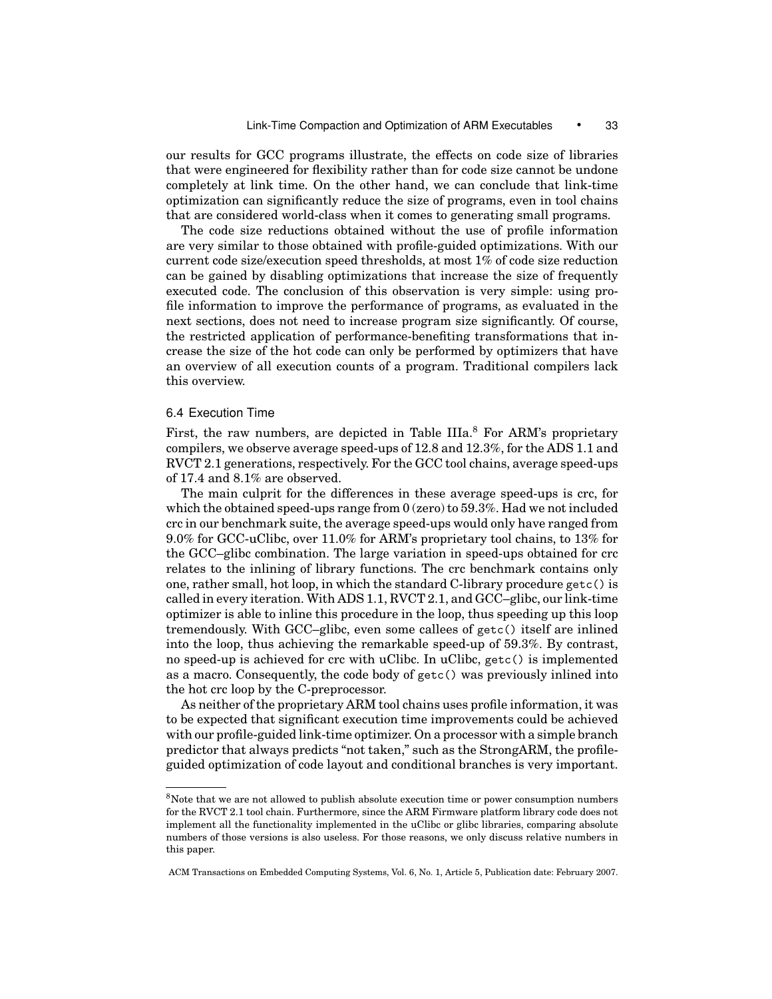our results for GCC programs illustrate, the effects on code size of libraries that were engineered for flexibility rather than for code size cannot be undone completely at link time. On the other hand, we can conclude that link-time optimization can significantly reduce the size of programs, even in tool chains that are considered world-class when it comes to generating small programs.

The code size reductions obtained without the use of profile information are very similar to those obtained with profile-guided optimizations. With our current code size/execution speed thresholds, at most 1% of code size reduction can be gained by disabling optimizations that increase the size of frequently executed code. The conclusion of this observation is very simple: using profile information to improve the performance of programs, as evaluated in the next sections, does not need to increase program size significantly. Of course, the restricted application of performance-benefiting transformations that increase the size of the hot code can only be performed by optimizers that have an overview of all execution counts of a program. Traditional compilers lack this overview.

### 6.4 Execution Time

First, the raw numbers, are depicted in Table IIIa.<sup>8</sup> For ARM's proprietary compilers, we observe average speed-ups of 12.8 and 12.3%, for the ADS 1.1 and RVCT 2.1 generations, respectively. For the GCC tool chains, average speed-ups of 17.4 and 8.1% are observed.

The main culprit for the differences in these average speed-ups is crc, for which the obtained speed-ups range from  $0$  (zero) to 59.3%. Had we not included crc in our benchmark suite, the average speed-ups would only have ranged from 9.0% for GCC-uClibc, over 11.0% for ARM's proprietary tool chains, to 13% for the GCC–glibc combination. The large variation in speed-ups obtained for crc relates to the inlining of library functions. The crc benchmark contains only one, rather small, hot loop, in which the standard C-library procedure getc() is called in every iteration. With ADS 1.1, RVCT 2.1, and GCC–glibc, our link-time optimizer is able to inline this procedure in the loop, thus speeding up this loop tremendously. With GCC–glibc, even some callees of getc() itself are inlined into the loop, thus achieving the remarkable speed-up of 59.3%. By contrast, no speed-up is achieved for crc with uClibc. In uClibc, getc() is implemented as a macro. Consequently, the code body of getc() was previously inlined into the hot crc loop by the C-preprocessor.

As neither of the proprietary ARM tool chains uses profile information, it was to be expected that significant execution time improvements could be achieved with our profile-guided link-time optimizer. On a processor with a simple branch predictor that always predicts "not taken," such as the StrongARM, the profileguided optimization of code layout and conditional branches is very important.

<sup>&</sup>lt;sup>8</sup>Note that we are not allowed to publish absolute execution time or power consumption numbers for the RVCT 2.1 tool chain. Furthermore, since the ARM Firmware platform library code does not implement all the functionality implemented in the uClibc or glibc libraries, comparing absolute numbers of those versions is also useless. For those reasons, we only discuss relative numbers in this paper.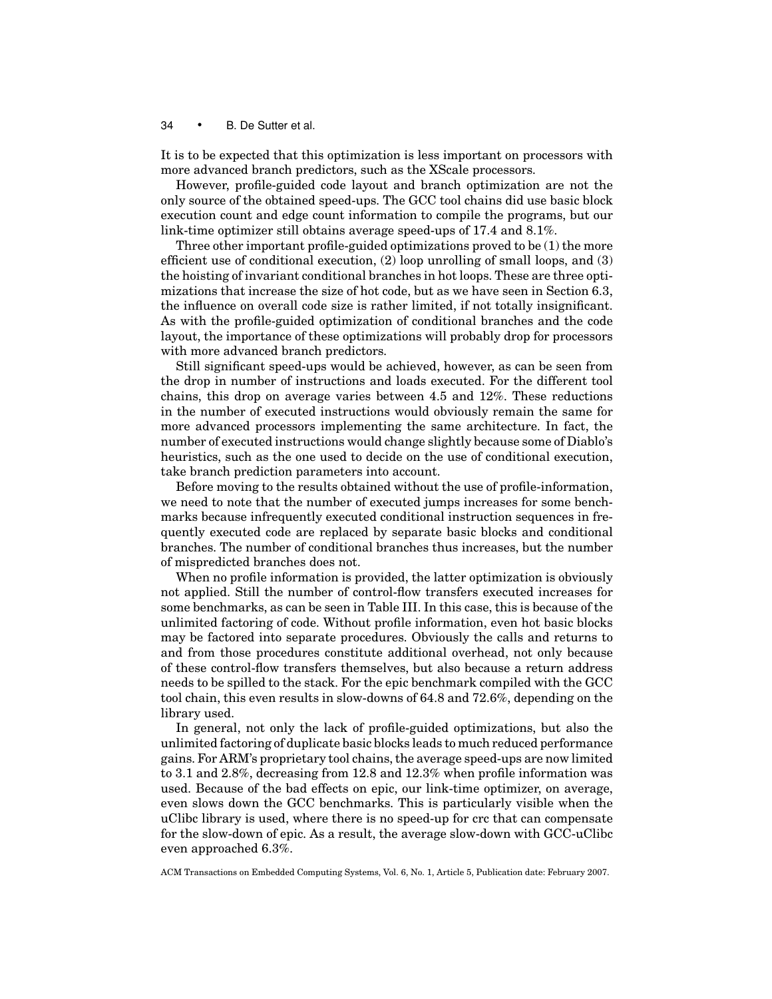It is to be expected that this optimization is less important on processors with more advanced branch predictors, such as the XScale processors.

However, profile-guided code layout and branch optimization are not the only source of the obtained speed-ups. The GCC tool chains did use basic block execution count and edge count information to compile the programs, but our link-time optimizer still obtains average speed-ups of 17.4 and 8.1%.

Three other important profile-guided optimizations proved to be (1) the more efficient use of conditional execution, (2) loop unrolling of small loops, and (3) the hoisting of invariant conditional branches in hot loops. These are three optimizations that increase the size of hot code, but as we have seen in Section 6.3, the influence on overall code size is rather limited, if not totally insignificant. As with the profile-guided optimization of conditional branches and the code layout, the importance of these optimizations will probably drop for processors with more advanced branch predictors.

Still significant speed-ups would be achieved, however, as can be seen from the drop in number of instructions and loads executed. For the different tool chains, this drop on average varies between 4.5 and 12%. These reductions in the number of executed instructions would obviously remain the same for more advanced processors implementing the same architecture. In fact, the number of executed instructions would change slightly because some of Diablo's heuristics, such as the one used to decide on the use of conditional execution, take branch prediction parameters into account.

Before moving to the results obtained without the use of profile-information, we need to note that the number of executed jumps increases for some benchmarks because infrequently executed conditional instruction sequences in frequently executed code are replaced by separate basic blocks and conditional branches. The number of conditional branches thus increases, but the number of mispredicted branches does not.

When no profile information is provided, the latter optimization is obviously not applied. Still the number of control-flow transfers executed increases for some benchmarks, as can be seen in Table III. In this case, this is because of the unlimited factoring of code. Without profile information, even hot basic blocks may be factored into separate procedures. Obviously the calls and returns to and from those procedures constitute additional overhead, not only because of these control-flow transfers themselves, but also because a return address needs to be spilled to the stack. For the epic benchmark compiled with the GCC tool chain, this even results in slow-downs of 64.8 and 72.6%, depending on the library used.

In general, not only the lack of profile-guided optimizations, but also the unlimited factoring of duplicate basic blocks leads to much reduced performance gains. For ARM's proprietary tool chains, the average speed-ups are now limited to 3.1 and 2.8%, decreasing from 12.8 and 12.3% when profile information was used. Because of the bad effects on epic, our link-time optimizer, on average, even slows down the GCC benchmarks. This is particularly visible when the uClibc library is used, where there is no speed-up for crc that can compensate for the slow-down of epic. As a result, the average slow-down with GCC-uClibc even approached 6.3%.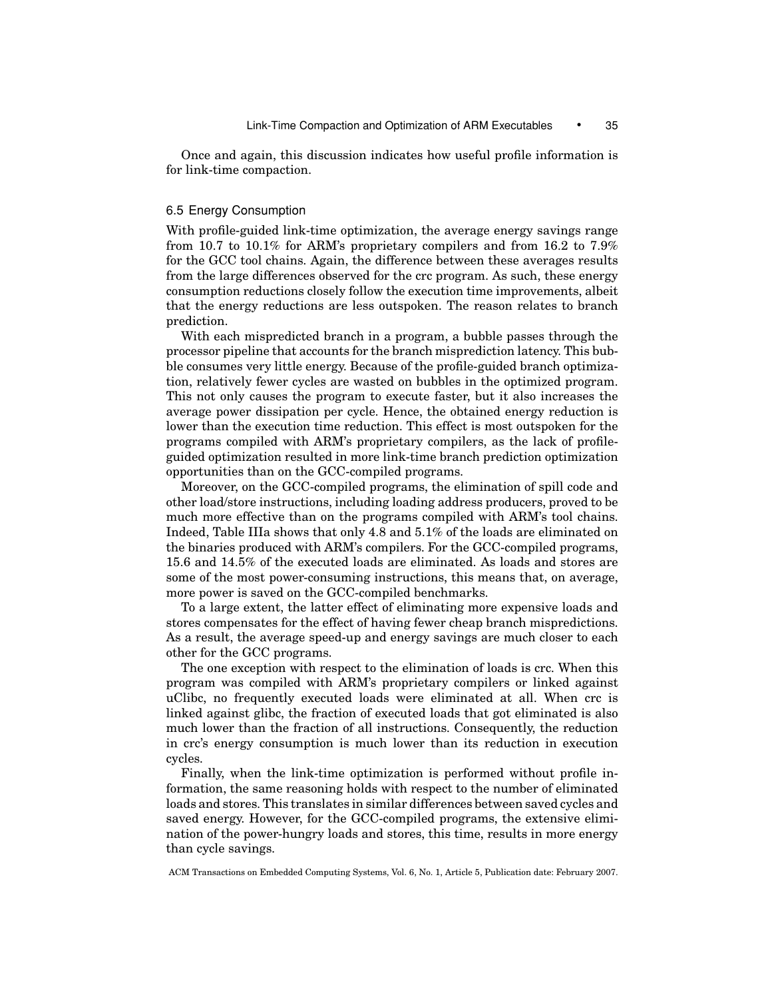Once and again, this discussion indicates how useful profile information is for link-time compaction.

### 6.5 Energy Consumption

With profile-guided link-time optimization, the average energy savings range from 10.7 to 10.1% for ARM's proprietary compilers and from 16.2 to 7.9% for the GCC tool chains. Again, the difference between these averages results from the large differences observed for the crc program. As such, these energy consumption reductions closely follow the execution time improvements, albeit that the energy reductions are less outspoken. The reason relates to branch prediction.

With each mispredicted branch in a program, a bubble passes through the processor pipeline that accounts for the branch misprediction latency. This bubble consumes very little energy. Because of the profile-guided branch optimization, relatively fewer cycles are wasted on bubbles in the optimized program. This not only causes the program to execute faster, but it also increases the average power dissipation per cycle. Hence, the obtained energy reduction is lower than the execution time reduction. This effect is most outspoken for the programs compiled with ARM's proprietary compilers, as the lack of profileguided optimization resulted in more link-time branch prediction optimization opportunities than on the GCC-compiled programs.

Moreover, on the GCC-compiled programs, the elimination of spill code and other load/store instructions, including loading address producers, proved to be much more effective than on the programs compiled with ARM's tool chains. Indeed, Table IIIa shows that only 4.8 and 5.1% of the loads are eliminated on the binaries produced with ARM's compilers. For the GCC-compiled programs, 15.6 and 14.5% of the executed loads are eliminated. As loads and stores are some of the most power-consuming instructions, this means that, on average, more power is saved on the GCC-compiled benchmarks.

To a large extent, the latter effect of eliminating more expensive loads and stores compensates for the effect of having fewer cheap branch mispredictions. As a result, the average speed-up and energy savings are much closer to each other for the GCC programs.

The one exception with respect to the elimination of loads is crc. When this program was compiled with ARM's proprietary compilers or linked against uClibc, no frequently executed loads were eliminated at all. When crc is linked against glibc, the fraction of executed loads that got eliminated is also much lower than the fraction of all instructions. Consequently, the reduction in crc's energy consumption is much lower than its reduction in execution cycles.

Finally, when the link-time optimization is performed without profile information, the same reasoning holds with respect to the number of eliminated loads and stores. This translates in similar differences between saved cycles and saved energy. However, for the GCC-compiled programs, the extensive elimination of the power-hungry loads and stores, this time, results in more energy than cycle savings.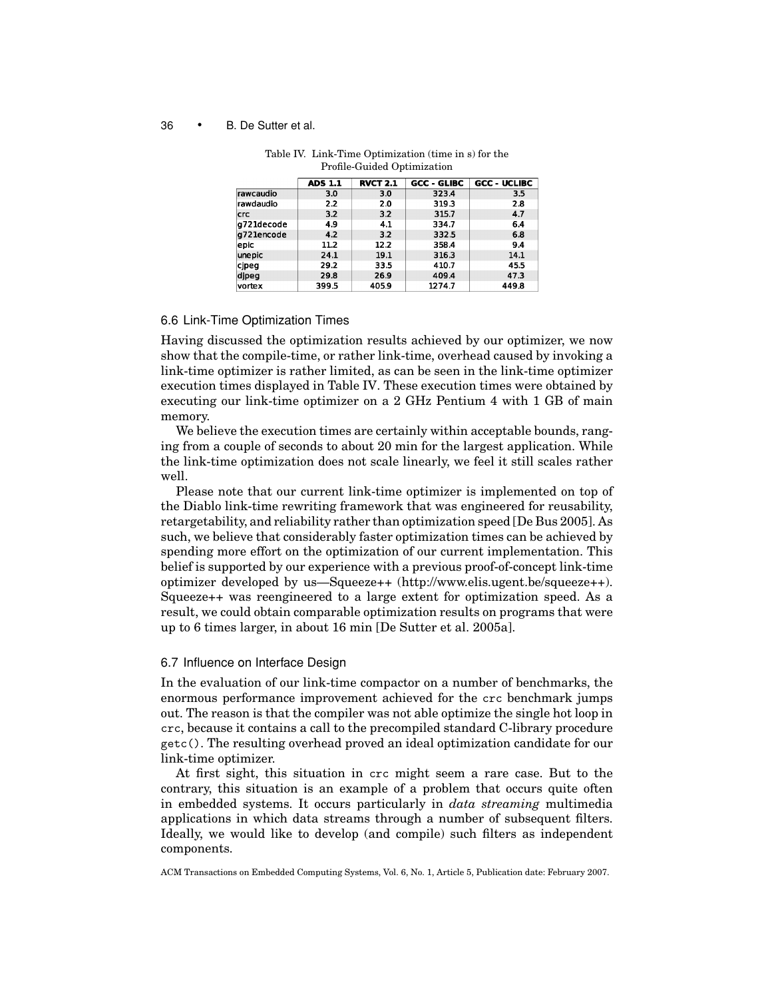|            | <b>ADS 1.1</b> | <b>RVCT 2.1</b> | <b>GCC - GLIBC</b> | <b>GCC - UCLIBC</b> |
|------------|----------------|-----------------|--------------------|---------------------|
| rawcaudio  | 3.0            | 3.0             | 323.4              | 3.5                 |
| rawdaudio  | 2.2            | 2.0             | 319.3              | 2.8                 |
| <b>Crc</b> | 3.2            | 3.2             | 315.7              | 4.7                 |
| q721decode | 4.9            | 4.1             | 334.7              | 6.4                 |
| q721encode | 4.2            | 3.2             | 332.5              | 6.8                 |
| epic       | 11.2           | 12.2            | 358.4              | 9.4                 |
| unepic     | 24.1           | 19.1            | 316.3              | 14.1                |
| cipeg      | 29.2           | 33.5            | 410.7              | 45.5                |
| dipeg      | 29.8           | 26.9            | 409.4              | 473                 |
| vortex     | 399.5          | 405.9           | 1274.7             | 449.8               |

| Table IV. Link-Time Optimization (time in s) for the |
|------------------------------------------------------|
| Profile-Guided Optimization                          |

## 6.6 Link-Time Optimization Times

Having discussed the optimization results achieved by our optimizer, we now show that the compile-time, or rather link-time, overhead caused by invoking a link-time optimizer is rather limited, as can be seen in the link-time optimizer execution times displayed in Table IV. These execution times were obtained by executing our link-time optimizer on a 2 GHz Pentium 4 with 1 GB of main memory.

We believe the execution times are certainly within acceptable bounds, ranging from a couple of seconds to about 20 min for the largest application. While the link-time optimization does not scale linearly, we feel it still scales rather well.

Please note that our current link-time optimizer is implemented on top of the Diablo link-time rewriting framework that was engineered for reusability, retargetability, and reliability rather than optimization speed [De Bus 2005]. As such, we believe that considerably faster optimization times can be achieved by spending more effort on the optimization of our current implementation. This belief is supported by our experience with a previous proof-of-concept link-time optimizer developed by us—Squeeze++ (http://www.elis.ugent.be/squeeze++). Squeeze++ was reengineered to a large extent for optimization speed. As a result, we could obtain comparable optimization results on programs that were up to 6 times larger, in about 16 min [De Sutter et al. 2005a].

#### 6.7 Influence on Interface Design

In the evaluation of our link-time compactor on a number of benchmarks, the enormous performance improvement achieved for the crc benchmark jumps out. The reason is that the compiler was not able optimize the single hot loop in crc, because it contains a call to the precompiled standard C-library procedure getc(). The resulting overhead proved an ideal optimization candidate for our link-time optimizer.

At first sight, this situation in crc might seem a rare case. But to the contrary, this situation is an example of a problem that occurs quite often in embedded systems. It occurs particularly in *data streaming* multimedia applications in which data streams through a number of subsequent filters. Ideally, we would like to develop (and compile) such filters as independent components.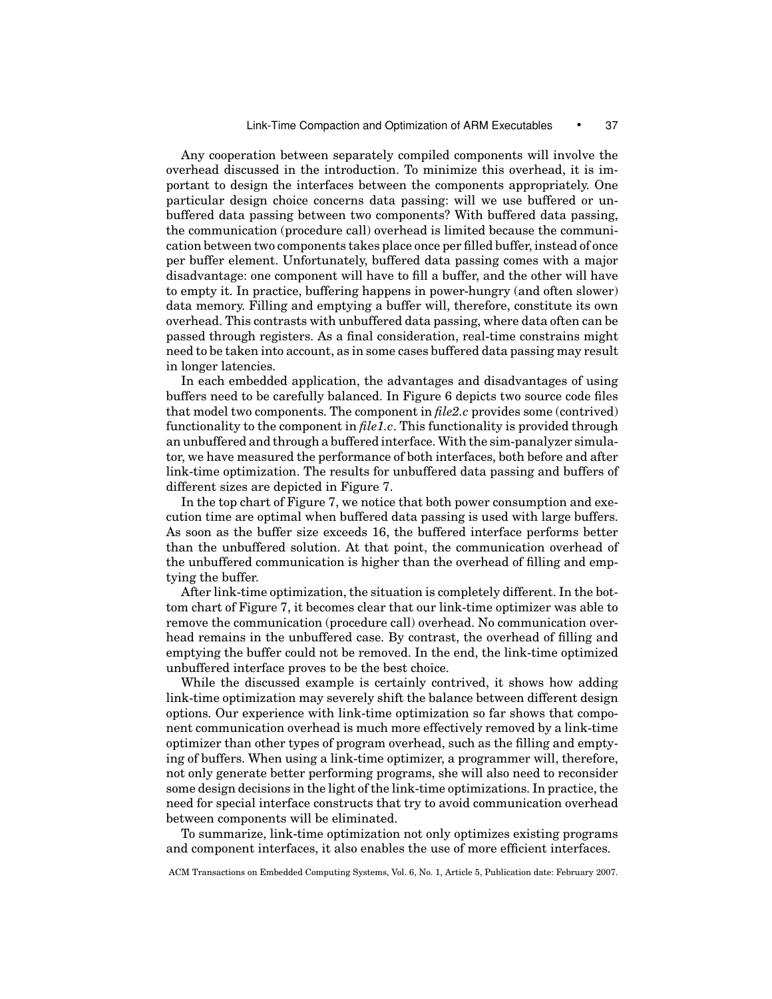Any cooperation between separately compiled components will involve the overhead discussed in the introduction. To minimize this overhead, it is important to design the interfaces between the components appropriately. One particular design choice concerns data passing: will we use buffered or unbuffered data passing between two components? With buffered data passing, the communication (procedure call) overhead is limited because the communication between two components takes place once per filled buffer, instead of once per buffer element. Unfortunately, buffered data passing comes with a major disadvantage: one component will have to fill a buffer, and the other will have to empty it. In practice, buffering happens in power-hungry (and often slower) data memory. Filling and emptying a buffer will, therefore, constitute its own overhead. This contrasts with unbuffered data passing, where data often can be passed through registers. As a final consideration, real-time constrains might need to be taken into account, as in some cases buffered data passing may result in longer latencies.

In each embedded application, the advantages and disadvantages of using buffers need to be carefully balanced. In Figure 6 depicts two source code files that model two components. The component in *file2.c* provides some (contrived) functionality to the component in *file1.c*. This functionality is provided through an unbuffered and through a buffered interface. With the sim-panalyzer simulator, we have measured the performance of both interfaces, both before and after link-time optimization. The results for unbuffered data passing and buffers of different sizes are depicted in Figure 7.

In the top chart of Figure 7, we notice that both power consumption and execution time are optimal when buffered data passing is used with large buffers. As soon as the buffer size exceeds 16, the buffered interface performs better than the unbuffered solution. At that point, the communication overhead of the unbuffered communication is higher than the overhead of filling and emptying the buffer.

After link-time optimization, the situation is completely different. In the bottom chart of Figure 7, it becomes clear that our link-time optimizer was able to remove the communication (procedure call) overhead. No communication overhead remains in the unbuffered case. By contrast, the overhead of filling and emptying the buffer could not be removed. In the end, the link-time optimized unbuffered interface proves to be the best choice.

While the discussed example is certainly contrived, it shows how adding link-time optimization may severely shift the balance between different design options. Our experience with link-time optimization so far shows that component communication overhead is much more effectively removed by a link-time optimizer than other types of program overhead, such as the filling and emptying of buffers. When using a link-time optimizer, a programmer will, therefore, not only generate better performing programs, she will also need to reconsider some design decisions in the light of the link-time optimizations. In practice, the need for special interface constructs that try to avoid communication overhead between components will be eliminated.

To summarize, link-time optimization not only optimizes existing programs and component interfaces, it also enables the use of more efficient interfaces.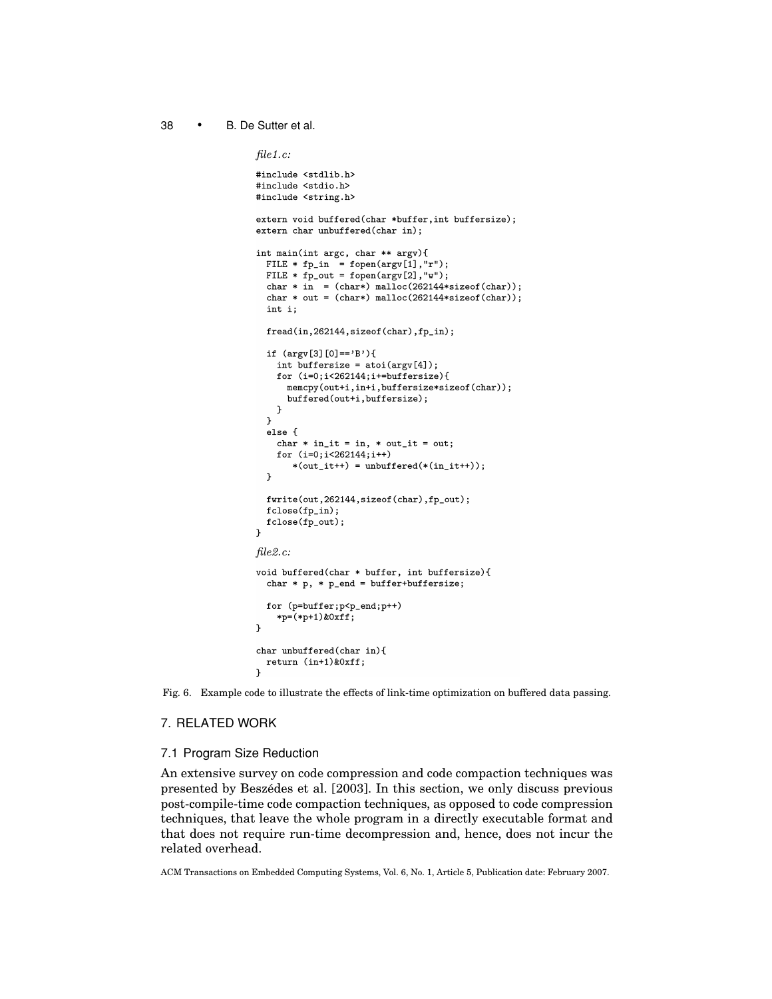```
file1.c.#include <stdlib.h>
#include <stdio.h>
#include <string.h>
extern void buffered(char *buffer, int buffersize);
extern char unbuffered(char in);
int main(int argc, char ** argv){
  FILE * fp_in = fopen(argv[1], "r");
  FILE * fp_out = fopen(argv[2], "w");
  char * in = (char*) malloc(262144*sizeof(char));
  char * out = (char*) malloc(262144*sizeof(char));
  int i:
  fread(in, 262144, sizeof(char), fp_in);
  if (\arg v[3][0] == 'B') {
    int buffersize = atoi(argv[4]);for (i=0; i<262144; i+=buffersize){
      memcpy(out+i,in+i,buffersize*sizeof(char));
      buffered(out+i,buffersize);
    \mathcal{F}\mathbf{r}else {
    char * in_it = in, * out_it = out;
    for (i=0; i<262144; i++)*(\mathtt{out\_itt+}) \ = \ \mathtt{unbuffered}(\ast(\mathtt{in\_itt+})) \ ;\mathbf{r}fwrite(out, 262144, sizeof(char), fp_out);
  fclose(fp_in);fclose(fp_out);\mathbf{r}file2.c.void buffered(char * buffer, int buffersize){
  char * p, * p_end = buffer+buffersize;
  for (p=buffer;p<p_end;p++)
    *p=(*p+1) & 0xff;\mathbf{R}char unbuffered(char in){
  return (in+1)&Oxff;
\mathbf{r}
```
Fig. 6. Example code to illustrate the effects of link-time optimization on buffered data passing.

## 7. RELATED WORK

### 7.1 Program Size Reduction

An extensive survey on code compression and code compaction techniques was presented by Beszedes et al. [2003]. In this section, we only discuss previous ´ post-compile-time code compaction techniques, as opposed to code compression techniques, that leave the whole program in a directly executable format and that does not require run-time decompression and, hence, does not incur the related overhead.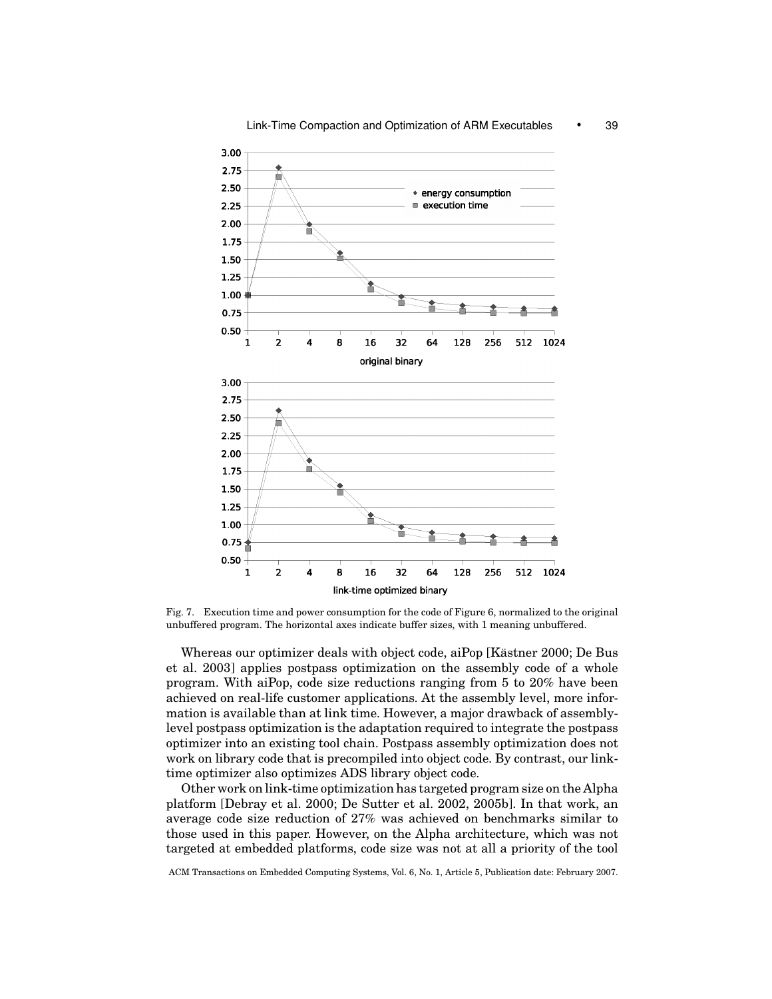

Fig. 7. Execution time and power consumption for the code of Figure 6, normalized to the original unbuffered program. The horizontal axes indicate buffer sizes, with 1 meaning unbuffered.

Whereas our optimizer deals with object code, aiPop [Kästner 2000; De Bus et al. 2003] applies postpass optimization on the assembly code of a whole program. With aiPop, code size reductions ranging from 5 to 20% have been achieved on real-life customer applications. At the assembly level, more information is available than at link time. However, a major drawback of assemblylevel postpass optimization is the adaptation required to integrate the postpass optimizer into an existing tool chain. Postpass assembly optimization does not work on library code that is precompiled into object code. By contrast, our linktime optimizer also optimizes ADS library object code.

Other work on link-time optimization has targeted program size on the Alpha platform [Debray et al. 2000; De Sutter et al. 2002, 2005b]. In that work, an average code size reduction of 27% was achieved on benchmarks similar to those used in this paper. However, on the Alpha architecture, which was not targeted at embedded platforms, code size was not at all a priority of the tool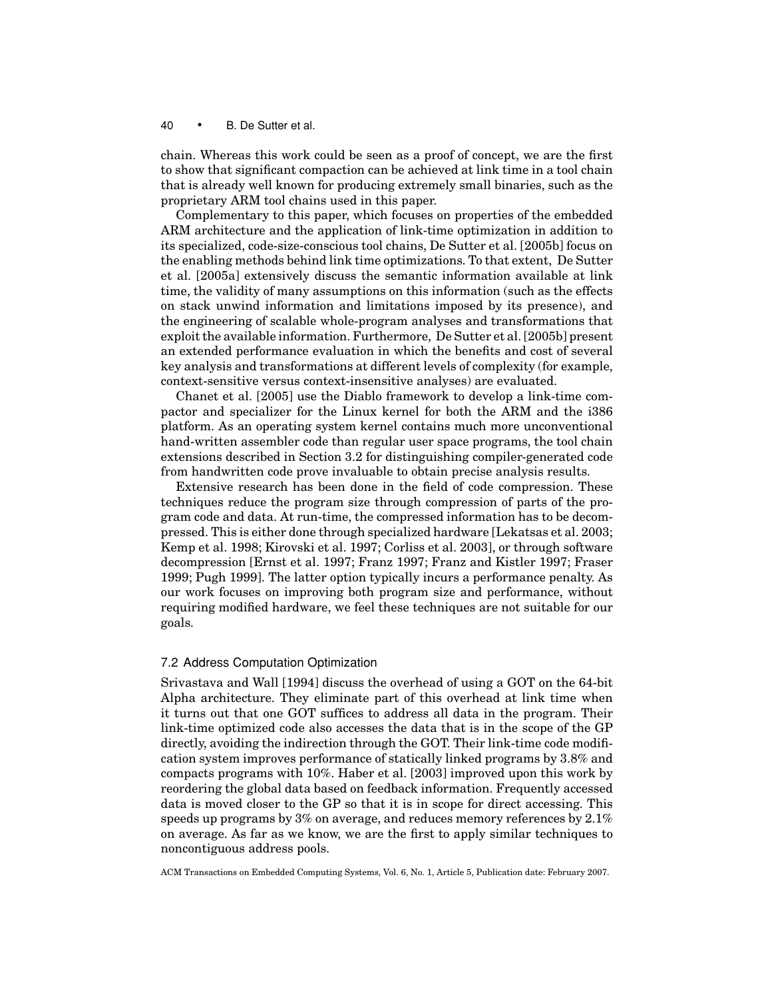chain. Whereas this work could be seen as a proof of concept, we are the first to show that significant compaction can be achieved at link time in a tool chain that is already well known for producing extremely small binaries, such as the proprietary ARM tool chains used in this paper.

Complementary to this paper, which focuses on properties of the embedded ARM architecture and the application of link-time optimization in addition to its specialized, code-size-conscious tool chains, De Sutter et al. [2005b] focus on the enabling methods behind link time optimizations. To that extent, De Sutter et al. [2005a] extensively discuss the semantic information available at link time, the validity of many assumptions on this information (such as the effects on stack unwind information and limitations imposed by its presence), and the engineering of scalable whole-program analyses and transformations that exploit the available information. Furthermore, De Sutter et al. [2005b] present an extended performance evaluation in which the benefits and cost of several key analysis and transformations at different levels of complexity (for example, context-sensitive versus context-insensitive analyses) are evaluated.

Chanet et al. [2005] use the Diablo framework to develop a link-time compactor and specializer for the Linux kernel for both the ARM and the i386 platform. As an operating system kernel contains much more unconventional hand-written assembler code than regular user space programs, the tool chain extensions described in Section 3.2 for distinguishing compiler-generated code from handwritten code prove invaluable to obtain precise analysis results.

Extensive research has been done in the field of code compression. These techniques reduce the program size through compression of parts of the program code and data. At run-time, the compressed information has to be decompressed. This is either done through specialized hardware [Lekatsas et al. 2003; Kemp et al. 1998; Kirovski et al. 1997; Corliss et al. 2003], or through software decompression [Ernst et al. 1997; Franz 1997; Franz and Kistler 1997; Fraser 1999; Pugh 1999]. The latter option typically incurs a performance penalty. As our work focuses on improving both program size and performance, without requiring modified hardware, we feel these techniques are not suitable for our goals.

### 7.2 Address Computation Optimization

Srivastava and Wall [1994] discuss the overhead of using a GOT on the 64-bit Alpha architecture. They eliminate part of this overhead at link time when it turns out that one GOT suffices to address all data in the program. Their link-time optimized code also accesses the data that is in the scope of the GP directly, avoiding the indirection through the GOT. Their link-time code modification system improves performance of statically linked programs by 3.8% and compacts programs with 10%. Haber et al. [2003] improved upon this work by reordering the global data based on feedback information. Frequently accessed data is moved closer to the GP so that it is in scope for direct accessing. This speeds up programs by 3% on average, and reduces memory references by 2.1% on average. As far as we know, we are the first to apply similar techniques to noncontiguous address pools.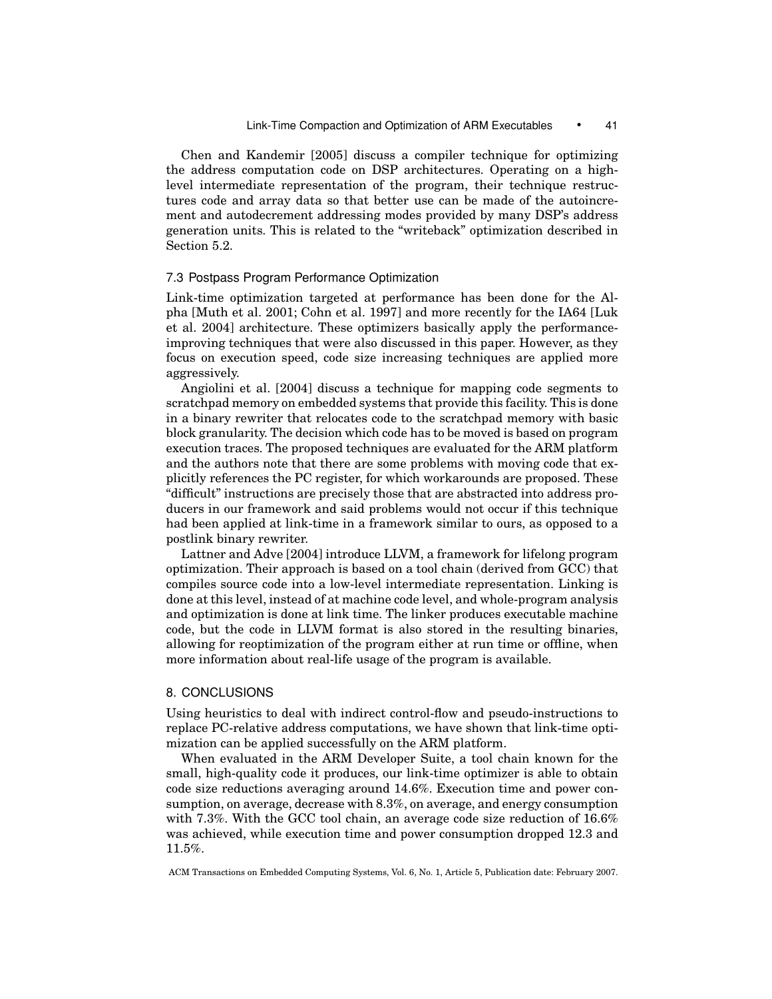Chen and Kandemir [2005] discuss a compiler technique for optimizing the address computation code on DSP architectures. Operating on a highlevel intermediate representation of the program, their technique restructures code and array data so that better use can be made of the autoincrement and autodecrement addressing modes provided by many DSP's address generation units. This is related to the "writeback" optimization described in Section 5.2.

## 7.3 Postpass Program Performance Optimization

Link-time optimization targeted at performance has been done for the Alpha [Muth et al. 2001; Cohn et al. 1997] and more recently for the IA64 [Luk et al. 2004] architecture. These optimizers basically apply the performanceimproving techniques that were also discussed in this paper. However, as they focus on execution speed, code size increasing techniques are applied more aggressively.

Angiolini et al. [2004] discuss a technique for mapping code segments to scratchpad memory on embedded systems that provide this facility. This is done in a binary rewriter that relocates code to the scratchpad memory with basic block granularity. The decision which code has to be moved is based on program execution traces. The proposed techniques are evaluated for the ARM platform and the authors note that there are some problems with moving code that explicitly references the PC register, for which workarounds are proposed. These "difficult" instructions are precisely those that are abstracted into address producers in our framework and said problems would not occur if this technique had been applied at link-time in a framework similar to ours, as opposed to a postlink binary rewriter.

Lattner and Adve [2004] introduce LLVM, a framework for lifelong program optimization. Their approach is based on a tool chain (derived from GCC) that compiles source code into a low-level intermediate representation. Linking is done at this level, instead of at machine code level, and whole-program analysis and optimization is done at link time. The linker produces executable machine code, but the code in LLVM format is also stored in the resulting binaries, allowing for reoptimization of the program either at run time or offline, when more information about real-life usage of the program is available.

### 8. CONCLUSIONS

Using heuristics to deal with indirect control-flow and pseudo-instructions to replace PC-relative address computations, we have shown that link-time optimization can be applied successfully on the ARM platform.

When evaluated in the ARM Developer Suite, a tool chain known for the small, high-quality code it produces, our link-time optimizer is able to obtain code size reductions averaging around 14.6%. Execution time and power consumption, on average, decrease with 8.3%, on average, and energy consumption with 7.3%. With the GCC tool chain, an average code size reduction of 16.6% was achieved, while execution time and power consumption dropped 12.3 and 11.5%.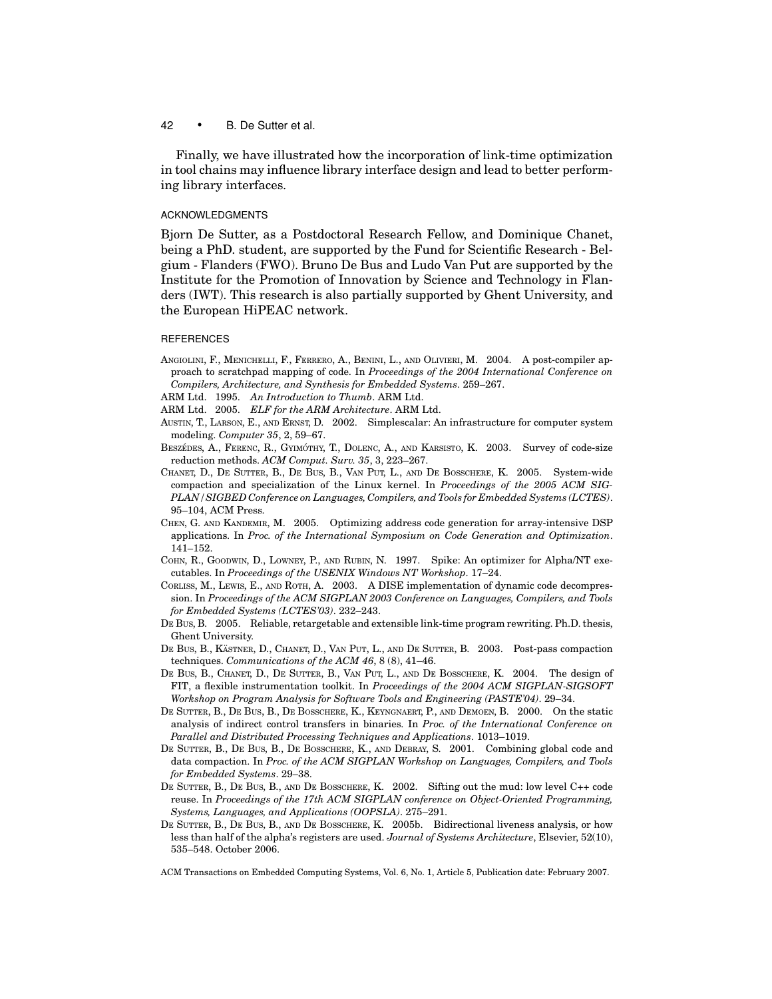Finally, we have illustrated how the incorporation of link-time optimization in tool chains may influence library interface design and lead to better performing library interfaces.

### ACKNOWLEDGMENTS

Bjorn De Sutter, as a Postdoctoral Research Fellow, and Dominique Chanet, being a PhD. student, are supported by the Fund for Scientific Research - Belgium - Flanders (FWO). Bruno De Bus and Ludo Van Put are supported by the Institute for the Promotion of Innovation by Science and Technology in Flanders (IWT). This research is also partially supported by Ghent University, and the European HiPEAC network.

#### **REFERENCES**

- ANGIOLINI, F., MENICHELLI, F., FERRERO, A., BENINI, L., AND OLIVIERI, M. 2004. A post-compiler approach to scratchpad mapping of code. In *Proceedings of the 2004 International Conference on Compilers, Architecture, and Synthesis for Embedded Systems*. 259–267.
- ARM Ltd. 1995. *An Introduction to Thumb*. ARM Ltd.
- ARM Ltd. 2005. *ELF for the ARM Architecture*. ARM Ltd.
- AUSTIN, T., LARSON, E., AND ERNST, D. 2002. Simplescalar: An infrastructure for computer system modeling. *Computer 35*, 2, 59–67.
- BESZÉDES, A., FERENC, R., GYIMÓTHY, T., DOLENC, A., AND KARSISTO, K. 2003. Survey of code-size reduction methods. *ACM Comput. Surv. 35*, 3, 223–267.
- CHANET, D., DE SUTTER, B., DE BUS, B., VAN PUT, L., AND DE BOSSCHERE, K. 2005. System-wide compaction and specialization of the Linux kernel. In *Proceedings of the 2005 ACM SIG-PLAN/SIGBED Conference on Languages, Compilers, and Tools for Embedded Systems (LCTES)*. 95–104, ACM Press.
- CHEN, G. AND KANDEMIR, M. 2005. Optimizing address code generation for array-intensive DSP applications. In *Proc. of the International Symposium on Code Generation and Optimization*. 141–152.
- COHN, R., GOODWIN, D., LOWNEY, P., AND RUBIN, N. 1997. Spike: An optimizer for Alpha/NT executables. In *Proceedings of the USENIX Windows NT Workshop*. 17–24.
- CORLISS, M., LEWIS, E., AND ROTH, A. 2003. A DISE implementation of dynamic code decompression. In *Proceedings of the ACM SIGPLAN 2003 Conference on Languages, Compilers, and Tools for Embedded Systems (LCTES'03)*. 232–243.
- DE BUS, B. 2005. Reliable, retargetable and extensible link-time program rewriting. Ph.D. thesis, Ghent University.
- DE BUS, B., KÄSTNER, D., CHANET, D., VAN PUT, L., AND DE SUTTER, B. 2003. Post-pass compaction techniques. *Communications of the ACM 46*, 8 (8), 41–46.
- DE BUS, B., CHANET, D., DE SUTTER, B., VAN PUT, L., AND DE BOSSCHERE, K. 2004. The design of FIT, a flexible instrumentation toolkit. In *Proceedings of the 2004 ACM SIGPLAN-SIGSOFT Workshop on Program Analysis for Software Tools and Engineering (PASTE'04)*. 29–34.
- DE SUTTER, B., DE BUS, B., DE BOSSCHERE, K., KEYNGNAERT, P., AND DEMOEN, B. 2000. On the static analysis of indirect control transfers in binaries. In *Proc. of the International Conference on Parallel and Distributed Processing Techniques and Applications*. 1013–1019.
- DE SUTTER, B., DE BUS, B., DE BOSSCHERE, K., AND DEBRAY, S. 2001. Combining global code and data compaction. In *Proc. of the ACM SIGPLAN Workshop on Languages, Compilers, and Tools for Embedded Systems*. 29–38.
- DE SUTTER, B., DE BUS, B., AND DE BOSSCHERE, K. 2002. Sifting out the mud: low level C++ code reuse. In *Proceedings of the 17th ACM SIGPLAN conference on Object-Oriented Programming, Systems, Languages, and Applications (OOPSLA)*. 275–291.
- DE SUTTER, B., DE BUS, B., AND DE BOSSCHERE, K. 2005b. Bidirectional liveness analysis, or how less than half of the alpha's registers are used. *Journal of Systems Architecture*, Elsevier, 52(10), 535–548. October 2006.